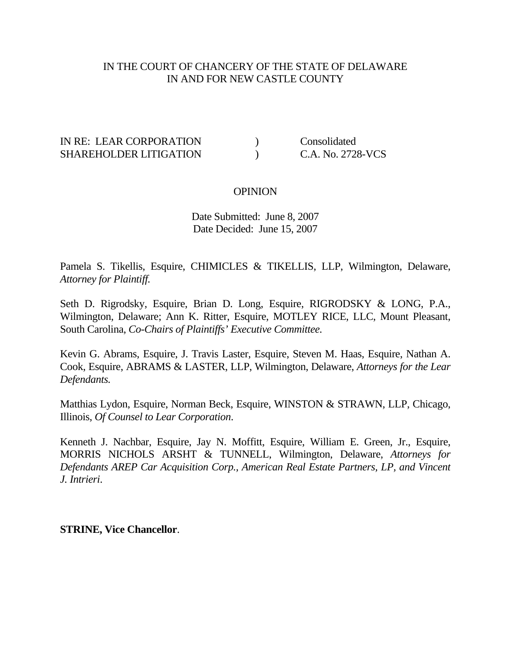## IN THE COURT OF CHANCERY OF THE STATE OF DELAWARE IN AND FOR NEW CASTLE COUNTY

# IN RE: LEAR CORPORATION ) Consolidated SHAREHOLDER LITIGATION (C.A. No. 2728-VCS

## OPINION

Date Submitted: June 8, 2007 Date Decided: June 15, 2007

Pamela S. Tikellis, Esquire, CHIMICLES & TIKELLIS, LLP, Wilmington, Delaware, *Attorney for Plaintiff.* 

Seth D. Rigrodsky, Esquire, Brian D. Long, Esquire, RIGRODSKY & LONG, P.A., Wilmington, Delaware; Ann K. Ritter, Esquire, MOTLEY RICE, LLC, Mount Pleasant, South Carolina, *Co-Chairs of Plaintiffs' Executive Committee.* 

Kevin G. Abrams, Esquire, J. Travis Laster, Esquire, Steven M. Haas, Esquire, Nathan A. Cook, Esquire, ABRAMS & LASTER, LLP, Wilmington, Delaware, *Attorneys for the Lear Defendants.* 

Matthias Lydon, Esquire, Norman Beck, Esquire, WINSTON & STRAWN, LLP, Chicago, Illinois, *Of Counsel to Lear Corporation*.

Kenneth J. Nachbar, Esquire, Jay N. Moffitt, Esquire, William E. Green, Jr., Esquire, MORRIS NICHOLS ARSHT & TUNNELL, Wilmington, Delaware, *Attorneys for Defendants AREP Car Acquisition Corp., American Real Estate Partners, LP, and Vincent J. Intrieri*.

**STRINE, Vice Chancellor**.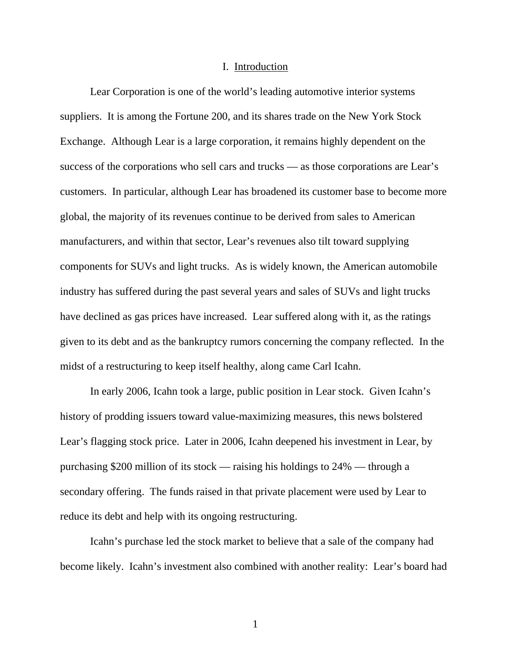#### I. Introduction

 Lear Corporation is one of the world's leading automotive interior systems suppliers. It is among the Fortune 200, and its shares trade on the New York Stock Exchange. Although Lear is a large corporation, it remains highly dependent on the success of the corporations who sell cars and trucks — as those corporations are Lear's customers. In particular, although Lear has broadened its customer base to become more global, the majority of its revenues continue to be derived from sales to American manufacturers, and within that sector, Lear's revenues also tilt toward supplying components for SUVs and light trucks. As is widely known, the American automobile industry has suffered during the past several years and sales of SUVs and light trucks have declined as gas prices have increased. Lear suffered along with it, as the ratings given to its debt and as the bankruptcy rumors concerning the company reflected. In the midst of a restructuring to keep itself healthy, along came Carl Icahn.

 In early 2006, Icahn took a large, public position in Lear stock. Given Icahn's history of prodding issuers toward value-maximizing measures, this news bolstered Lear's flagging stock price. Later in 2006, Icahn deepened his investment in Lear, by purchasing \$200 million of its stock — raising his holdings to 24% — through a secondary offering. The funds raised in that private placement were used by Lear to reduce its debt and help with its ongoing restructuring.

 Icahn's purchase led the stock market to believe that a sale of the company had become likely. Icahn's investment also combined with another reality: Lear's board had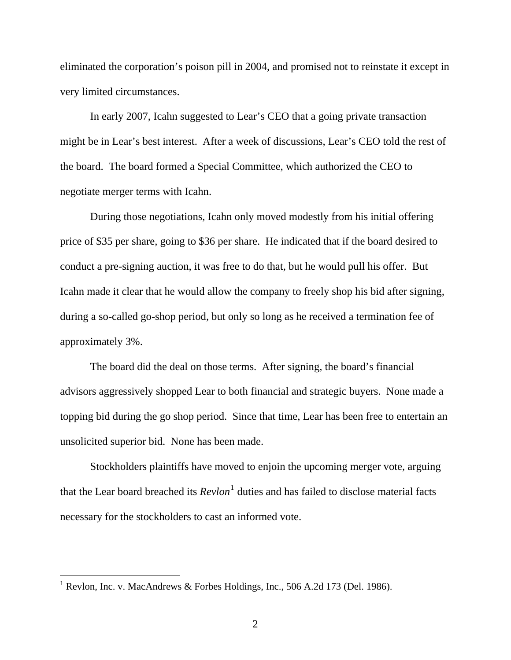eliminated the corporation's poison pill in 2004, and promised not to reinstate it except in very limited circumstances.

 In early 2007, Icahn suggested to Lear's CEO that a going private transaction might be in Lear's best interest. After a week of discussions, Lear's CEO told the rest of the board. The board formed a Special Committee, which authorized the CEO to negotiate merger terms with Icahn.

 During those negotiations, Icahn only moved modestly from his initial offering price of \$35 per share, going to \$36 per share. He indicated that if the board desired to conduct a pre-signing auction, it was free to do that, but he would pull his offer. But Icahn made it clear that he would allow the company to freely shop his bid after signing, during a so-called go-shop period, but only so long as he received a termination fee of approximately 3%.

 The board did the deal on those terms. After signing, the board's financial advisors aggressively shopped Lear to both financial and strategic buyers. None made a topping bid during the go shop period. Since that time, Lear has been free to entertain an unsolicited superior bid. None has been made.

 Stockholders plaintiffs have moved to enjoin the upcoming merger vote, arguing that the Lear board breached its *Revlon*<sup>[1](#page-2-0)</sup> duties and has failed to disclose material facts necessary for the stockholders to cast an informed vote.

<span id="page-2-0"></span><sup>&</sup>lt;sup>1</sup> Revlon, Inc. v. MacAndrews & Forbes Holdings, Inc., 506 A.2d 173 (Del. 1986).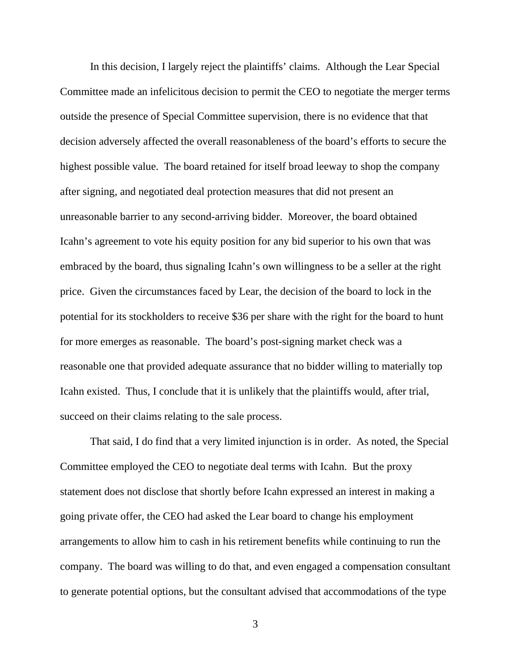In this decision, I largely reject the plaintiffs' claims. Although the Lear Special Committee made an infelicitous decision to permit the CEO to negotiate the merger terms outside the presence of Special Committee supervision, there is no evidence that that decision adversely affected the overall reasonableness of the board's efforts to secure the highest possible value. The board retained for itself broad leeway to shop the company after signing, and negotiated deal protection measures that did not present an unreasonable barrier to any second-arriving bidder. Moreover, the board obtained Icahn's agreement to vote his equity position for any bid superior to his own that was embraced by the board, thus signaling Icahn's own willingness to be a seller at the right price. Given the circumstances faced by Lear, the decision of the board to lock in the potential for its stockholders to receive \$36 per share with the right for the board to hunt for more emerges as reasonable. The board's post-signing market check was a reasonable one that provided adequate assurance that no bidder willing to materially top Icahn existed. Thus, I conclude that it is unlikely that the plaintiffs would, after trial, succeed on their claims relating to the sale process.

 That said, I do find that a very limited injunction is in order. As noted, the Special Committee employed the CEO to negotiate deal terms with Icahn. But the proxy statement does not disclose that shortly before Icahn expressed an interest in making a going private offer, the CEO had asked the Lear board to change his employment arrangements to allow him to cash in his retirement benefits while continuing to run the company. The board was willing to do that, and even engaged a compensation consultant to generate potential options, but the consultant advised that accommodations of the type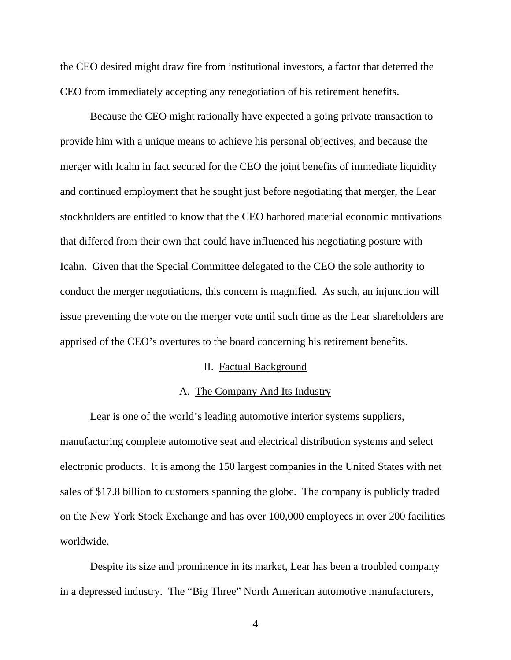the CEO desired might draw fire from institutional investors, a factor that deterred the CEO from immediately accepting any renegotiation of his retirement benefits.

 Because the CEO might rationally have expected a going private transaction to provide him with a unique means to achieve his personal objectives, and because the merger with Icahn in fact secured for the CEO the joint benefits of immediate liquidity and continued employment that he sought just before negotiating that merger, the Lear stockholders are entitled to know that the CEO harbored material economic motivations that differed from their own that could have influenced his negotiating posture with Icahn. Given that the Special Committee delegated to the CEO the sole authority to conduct the merger negotiations, this concern is magnified. As such, an injunction will issue preventing the vote on the merger vote until such time as the Lear shareholders are apprised of the CEO's overtures to the board concerning his retirement benefits.

### II. Factual Background

#### A. The Company And Its Industry

 Lear is one of the world's leading automotive interior systems suppliers, manufacturing complete automotive seat and electrical distribution systems and select electronic products. It is among the 150 largest companies in the United States with net sales of \$17.8 billion to customers spanning the globe. The company is publicly traded on the New York Stock Exchange and has over 100,000 employees in over 200 facilities worldwide.

Despite its size and prominence in its market, Lear has been a troubled company in a depressed industry. The "Big Three" North American automotive manufacturers,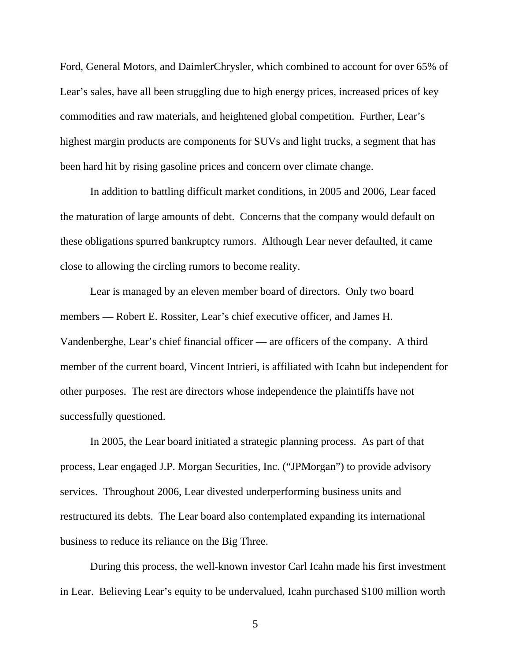Ford, General Motors, and DaimlerChrysler, which combined to account for over 65% of Lear's sales, have all been struggling due to high energy prices, increased prices of key commodities and raw materials, and heightened global competition. Further, Lear's highest margin products are components for SUVs and light trucks, a segment that has been hard hit by rising gasoline prices and concern over climate change.

In addition to battling difficult market conditions, in 2005 and 2006, Lear faced the maturation of large amounts of debt. Concerns that the company would default on these obligations spurred bankruptcy rumors. Although Lear never defaulted, it came close to allowing the circling rumors to become reality.

Lear is managed by an eleven member board of directors. Only two board members — Robert E. Rossiter, Lear's chief executive officer, and James H. Vandenberghe, Lear's chief financial officer — are officers of the company. A third member of the current board, Vincent Intrieri, is affiliated with Icahn but independent for other purposes. The rest are directors whose independence the plaintiffs have not successfully questioned.

In 2005, the Lear board initiated a strategic planning process. As part of that process, Lear engaged J.P. Morgan Securities, Inc. ("JPMorgan") to provide advisory services. Throughout 2006, Lear divested underperforming business units and restructured its debts. The Lear board also contemplated expanding its international business to reduce its reliance on the Big Three.

 During this process, the well-known investor Carl Icahn made his first investment in Lear. Believing Lear's equity to be undervalued, Icahn purchased \$100 million worth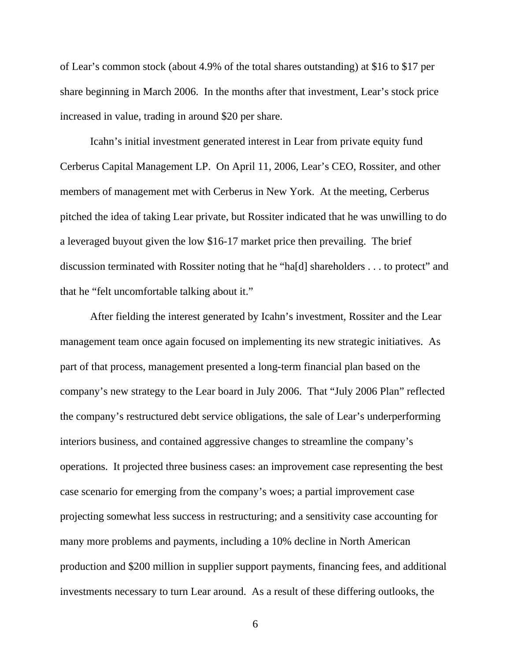of Lear's common stock (about 4.9% of the total shares outstanding) at \$16 to \$17 per share beginning in March 2006. In the months after that investment, Lear's stock price increased in value, trading in around \$20 per share.

Icahn's initial investment generated interest in Lear from private equity fund Cerberus Capital Management LP. On April 11, 2006, Lear's CEO, Rossiter, and other members of management met with Cerberus in New York. At the meeting, Cerberus pitched the idea of taking Lear private, but Rossiter indicated that he was unwilling to do a leveraged buyout given the low \$16-17 market price then prevailing. The brief discussion terminated with Rossiter noting that he "ha[d] shareholders . . . to protect" and that he "felt uncomfortable talking about it."

After fielding the interest generated by Icahn's investment, Rossiter and the Lear management team once again focused on implementing its new strategic initiatives. As part of that process, management presented a long-term financial plan based on the company's new strategy to the Lear board in July 2006. That "July 2006 Plan" reflected the company's restructured debt service obligations, the sale of Lear's underperforming interiors business, and contained aggressive changes to streamline the company's operations. It projected three business cases: an improvement case representing the best case scenario for emerging from the company's woes; a partial improvement case projecting somewhat less success in restructuring; and a sensitivity case accounting for many more problems and payments, including a 10% decline in North American production and \$200 million in supplier support payments, financing fees, and additional investments necessary to turn Lear around. As a result of these differing outlooks, the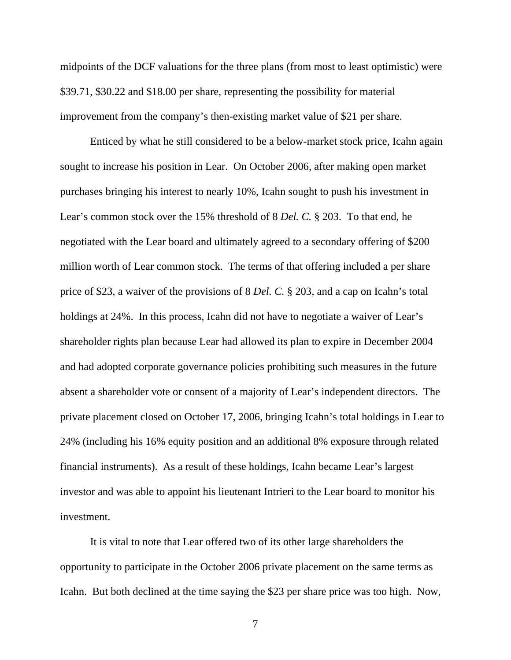midpoints of the DCF valuations for the three plans (from most to least optimistic) were \$39.71, \$30.22 and \$18.00 per share, representing the possibility for material improvement from the company's then-existing market value of \$21 per share.

 Enticed by what he still considered to be a below-market stock price, Icahn again sought to increase his position in Lear. On October 2006, after making open market purchases bringing his interest to nearly 10%, Icahn sought to push his investment in Lear's common stock over the 15% threshold of 8 *Del. C.* § 203. To that end, he negotiated with the Lear board and ultimately agreed to a secondary offering of \$200 million worth of Lear common stock. The terms of that offering included a per share price of \$23, a waiver of the provisions of 8 *Del. C.* § 203, and a cap on Icahn's total holdings at 24%. In this process, Icahn did not have to negotiate a waiver of Lear's shareholder rights plan because Lear had allowed its plan to expire in December 2004 and had adopted corporate governance policies prohibiting such measures in the future absent a shareholder vote or consent of a majority of Lear's independent directors. The private placement closed on October 17, 2006, bringing Icahn's total holdings in Lear to 24% (including his 16% equity position and an additional 8% exposure through related financial instruments). As a result of these holdings, Icahn became Lear's largest investor and was able to appoint his lieutenant Intrieri to the Lear board to monitor his investment.

It is vital to note that Lear offered two of its other large shareholders the opportunity to participate in the October 2006 private placement on the same terms as Icahn. But both declined at the time saying the \$23 per share price was too high. Now,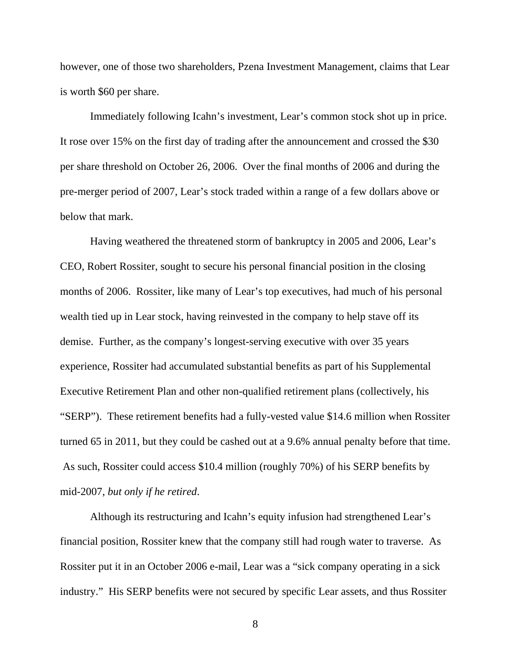however, one of those two shareholders, Pzena Investment Management, claims that Lear is worth \$60 per share.

 Immediately following Icahn's investment, Lear's common stock shot up in price. It rose over 15% on the first day of trading after the announcement and crossed the \$30 per share threshold on October 26, 2006. Over the final months of 2006 and during the pre-merger period of 2007, Lear's stock traded within a range of a few dollars above or below that mark.

 Having weathered the threatened storm of bankruptcy in 2005 and 2006, Lear's CEO, Robert Rossiter, sought to secure his personal financial position in the closing months of 2006. Rossiter, like many of Lear's top executives, had much of his personal wealth tied up in Lear stock, having reinvested in the company to help stave off its demise. Further, as the company's longest-serving executive with over 35 years experience, Rossiter had accumulated substantial benefits as part of his Supplemental Executive Retirement Plan and other non-qualified retirement plans (collectively, his "SERP"). These retirement benefits had a fully-vested value \$14.6 million when Rossiter turned 65 in 2011, but they could be cashed out at a 9.6% annual penalty before that time. As such, Rossiter could access \$10.4 million (roughly 70%) of his SERP benefits by mid-2007, *but only if he retired*.

Although its restructuring and Icahn's equity infusion had strengthened Lear's financial position, Rossiter knew that the company still had rough water to traverse. As Rossiter put it in an October 2006 e-mail, Lear was a "sick company operating in a sick industry." His SERP benefits were not secured by specific Lear assets, and thus Rossiter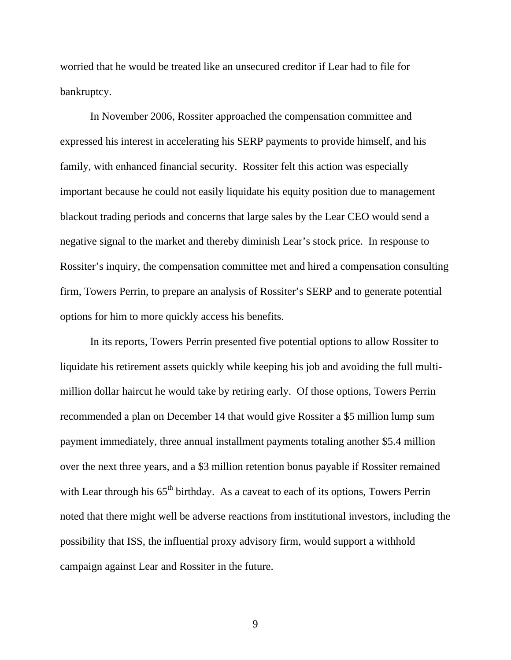worried that he would be treated like an unsecured creditor if Lear had to file for bankruptcy.

In November 2006, Rossiter approached the compensation committee and expressed his interest in accelerating his SERP payments to provide himself, and his family, with enhanced financial security. Rossiter felt this action was especially important because he could not easily liquidate his equity position due to management blackout trading periods and concerns that large sales by the Lear CEO would send a negative signal to the market and thereby diminish Lear's stock price. In response to Rossiter's inquiry, the compensation committee met and hired a compensation consulting firm, Towers Perrin, to prepare an analysis of Rossiter's SERP and to generate potential options for him to more quickly access his benefits.

In its reports, Towers Perrin presented five potential options to allow Rossiter to liquidate his retirement assets quickly while keeping his job and avoiding the full multimillion dollar haircut he would take by retiring early. Of those options, Towers Perrin recommended a plan on December 14 that would give Rossiter a \$5 million lump sum payment immediately, three annual installment payments totaling another \$5.4 million over the next three years, and a \$3 million retention bonus payable if Rossiter remained with Lear through his  $65<sup>th</sup>$  birthday. As a caveat to each of its options, Towers Perrin noted that there might well be adverse reactions from institutional investors, including the possibility that ISS, the influential proxy advisory firm, would support a withhold campaign against Lear and Rossiter in the future.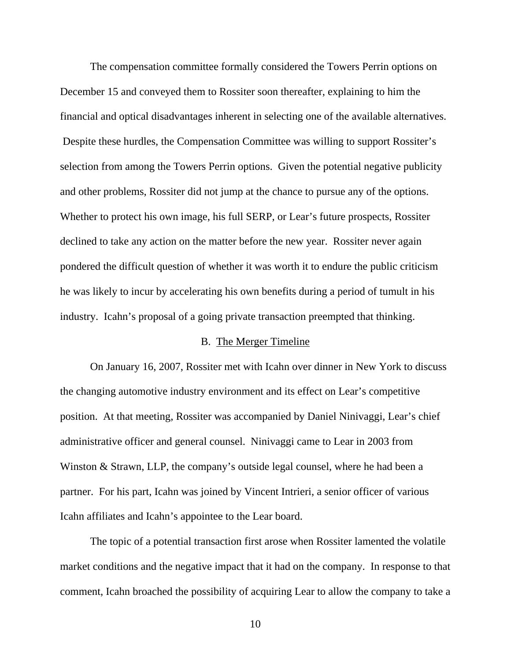The compensation committee formally considered the Towers Perrin options on December 15 and conveyed them to Rossiter soon thereafter, explaining to him the financial and optical disadvantages inherent in selecting one of the available alternatives. Despite these hurdles, the Compensation Committee was willing to support Rossiter's selection from among the Towers Perrin options. Given the potential negative publicity and other problems, Rossiter did not jump at the chance to pursue any of the options. Whether to protect his own image, his full SERP, or Lear's future prospects, Rossiter declined to take any action on the matter before the new year. Rossiter never again pondered the difficult question of whether it was worth it to endure the public criticism he was likely to incur by accelerating his own benefits during a period of tumult in his industry. Icahn's proposal of a going private transaction preempted that thinking.

### B. The Merger Timeline

 On January 16, 2007, Rossiter met with Icahn over dinner in New York to discuss the changing automotive industry environment and its effect on Lear's competitive position. At that meeting, Rossiter was accompanied by Daniel Ninivaggi, Lear's chief administrative officer and general counsel. Ninivaggi came to Lear in 2003 from Winston & Strawn, LLP, the company's outside legal counsel, where he had been a partner. For his part, Icahn was joined by Vincent Intrieri, a senior officer of various Icahn affiliates and Icahn's appointee to the Lear board.

The topic of a potential transaction first arose when Rossiter lamented the volatile market conditions and the negative impact that it had on the company. In response to that comment, Icahn broached the possibility of acquiring Lear to allow the company to take a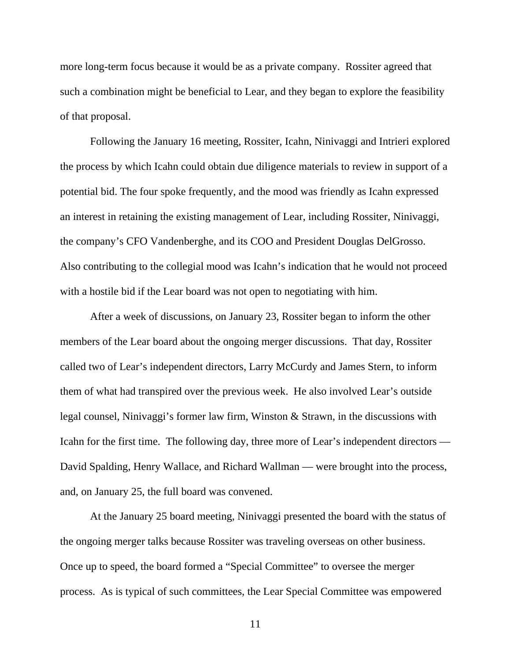more long-term focus because it would be as a private company. Rossiter agreed that such a combination might be beneficial to Lear, and they began to explore the feasibility of that proposal.

 Following the January 16 meeting, Rossiter, Icahn, Ninivaggi and Intrieri explored the process by which Icahn could obtain due diligence materials to review in support of a potential bid. The four spoke frequently, and the mood was friendly as Icahn expressed an interest in retaining the existing management of Lear, including Rossiter, Ninivaggi, the company's CFO Vandenberghe, and its COO and President Douglas DelGrosso. Also contributing to the collegial mood was Icahn's indication that he would not proceed with a hostile bid if the Lear board was not open to negotiating with him.

 After a week of discussions, on January 23, Rossiter began to inform the other members of the Lear board about the ongoing merger discussions. That day, Rossiter called two of Lear's independent directors, Larry McCurdy and James Stern, to inform them of what had transpired over the previous week. He also involved Lear's outside legal counsel, Ninivaggi's former law firm, Winston & Strawn, in the discussions with Icahn for the first time. The following day, three more of Lear's independent directors — David Spalding, Henry Wallace, and Richard Wallman — were brought into the process, and, on January 25, the full board was convened.

At the January 25 board meeting, Ninivaggi presented the board with the status of the ongoing merger talks because Rossiter was traveling overseas on other business. Once up to speed, the board formed a "Special Committee" to oversee the merger process. As is typical of such committees, the Lear Special Committee was empowered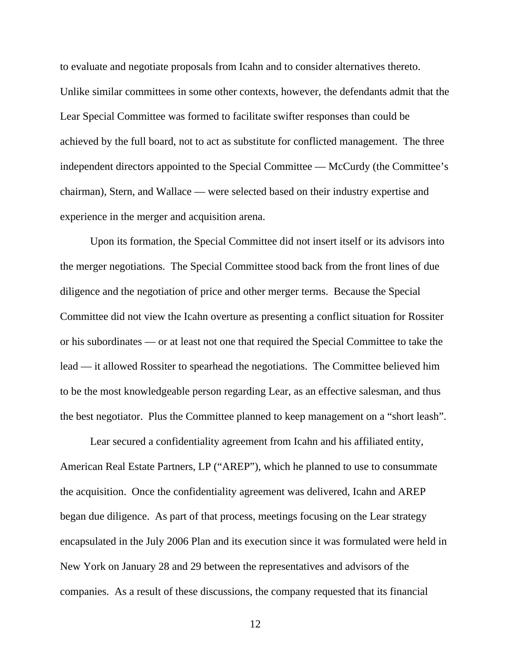to evaluate and negotiate proposals from Icahn and to consider alternatives thereto. Unlike similar committees in some other contexts, however, the defendants admit that the Lear Special Committee was formed to facilitate swifter responses than could be achieved by the full board, not to act as substitute for conflicted management. The three independent directors appointed to the Special Committee — McCurdy (the Committee's chairman), Stern, and Wallace — were selected based on their industry expertise and experience in the merger and acquisition arena.

Upon its formation, the Special Committee did not insert itself or its advisors into the merger negotiations. The Special Committee stood back from the front lines of due diligence and the negotiation of price and other merger terms. Because the Special Committee did not view the Icahn overture as presenting a conflict situation for Rossiter or his subordinates — or at least not one that required the Special Committee to take the lead — it allowed Rossiter to spearhead the negotiations. The Committee believed him to be the most knowledgeable person regarding Lear, as an effective salesman, and thus the best negotiator. Plus the Committee planned to keep management on a "short leash".

Lear secured a confidentiality agreement from Icahn and his affiliated entity, American Real Estate Partners, LP ("AREP"), which he planned to use to consummate the acquisition. Once the confidentiality agreement was delivered, Icahn and AREP began due diligence. As part of that process, meetings focusing on the Lear strategy encapsulated in the July 2006 Plan and its execution since it was formulated were held in New York on January 28 and 29 between the representatives and advisors of the companies. As a result of these discussions, the company requested that its financial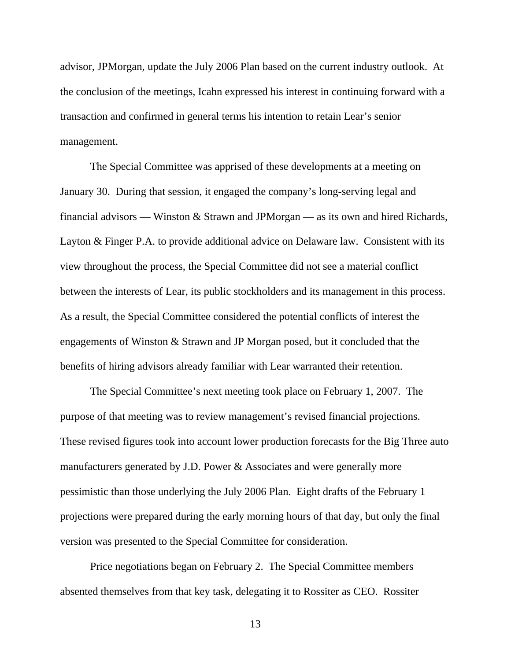advisor, JPMorgan, update the July 2006 Plan based on the current industry outlook. At the conclusion of the meetings, Icahn expressed his interest in continuing forward with a transaction and confirmed in general terms his intention to retain Lear's senior management.

The Special Committee was apprised of these developments at a meeting on January 30. During that session, it engaged the company's long-serving legal and financial advisors — Winston & Strawn and JPMorgan — as its own and hired Richards, Layton & Finger P.A. to provide additional advice on Delaware law. Consistent with its view throughout the process, the Special Committee did not see a material conflict between the interests of Lear, its public stockholders and its management in this process. As a result, the Special Committee considered the potential conflicts of interest the engagements of Winston & Strawn and JP Morgan posed, but it concluded that the benefits of hiring advisors already familiar with Lear warranted their retention.

The Special Committee's next meeting took place on February 1, 2007. The purpose of that meeting was to review management's revised financial projections. These revised figures took into account lower production forecasts for the Big Three auto manufacturers generated by J.D. Power & Associates and were generally more pessimistic than those underlying the July 2006 Plan. Eight drafts of the February 1 projections were prepared during the early morning hours of that day, but only the final version was presented to the Special Committee for consideration.

Price negotiations began on February 2. The Special Committee members absented themselves from that key task, delegating it to Rossiter as CEO. Rossiter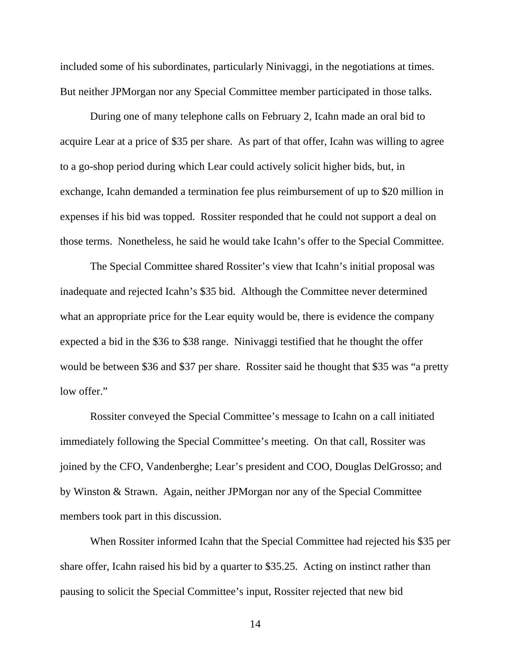included some of his subordinates, particularly Ninivaggi, in the negotiations at times. But neither JPMorgan nor any Special Committee member participated in those talks.

During one of many telephone calls on February 2, Icahn made an oral bid to acquire Lear at a price of \$35 per share. As part of that offer, Icahn was willing to agree to a go-shop period during which Lear could actively solicit higher bids, but, in exchange, Icahn demanded a termination fee plus reimbursement of up to \$20 million in expenses if his bid was topped. Rossiter responded that he could not support a deal on those terms. Nonetheless, he said he would take Icahn's offer to the Special Committee.

The Special Committee shared Rossiter's view that Icahn's initial proposal was inadequate and rejected Icahn's \$35 bid. Although the Committee never determined what an appropriate price for the Lear equity would be, there is evidence the company expected a bid in the \$36 to \$38 range. Ninivaggi testified that he thought the offer would be between \$36 and \$37 per share. Rossiter said he thought that \$35 was "a pretty low offer."

Rossiter conveyed the Special Committee's message to Icahn on a call initiated immediately following the Special Committee's meeting. On that call, Rossiter was joined by the CFO, Vandenberghe; Lear's president and COO, Douglas DelGrosso; and by Winston & Strawn. Again, neither JPMorgan nor any of the Special Committee members took part in this discussion.

When Rossiter informed Icahn that the Special Committee had rejected his \$35 per share offer, Icahn raised his bid by a quarter to \$35.25. Acting on instinct rather than pausing to solicit the Special Committee's input, Rossiter rejected that new bid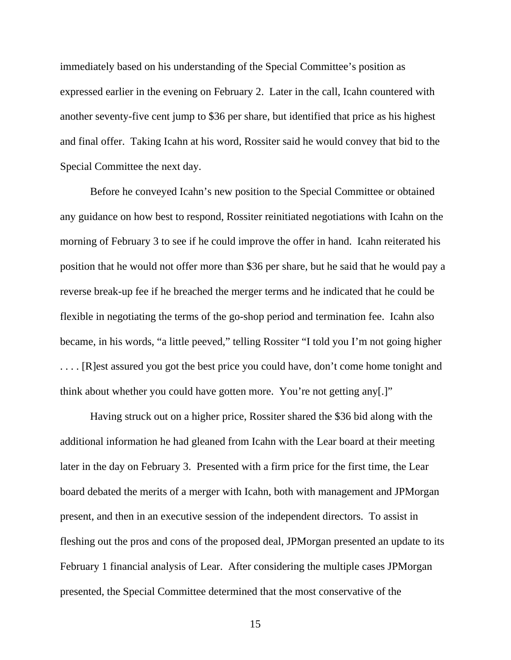immediately based on his understanding of the Special Committee's position as expressed earlier in the evening on February 2. Later in the call, Icahn countered with another seventy-five cent jump to \$36 per share, but identified that price as his highest and final offer. Taking Icahn at his word, Rossiter said he would convey that bid to the Special Committee the next day.

Before he conveyed Icahn's new position to the Special Committee or obtained any guidance on how best to respond, Rossiter reinitiated negotiations with Icahn on the morning of February 3 to see if he could improve the offer in hand. Icahn reiterated his position that he would not offer more than \$36 per share, but he said that he would pay a reverse break-up fee if he breached the merger terms and he indicated that he could be flexible in negotiating the terms of the go-shop period and termination fee. Icahn also became, in his words, "a little peeved," telling Rossiter "I told you I'm not going higher . . . . [R]est assured you got the best price you could have, don't come home tonight and think about whether you could have gotten more. You're not getting any[.]"

Having struck out on a higher price, Rossiter shared the \$36 bid along with the additional information he had gleaned from Icahn with the Lear board at their meeting later in the day on February 3. Presented with a firm price for the first time, the Lear board debated the merits of a merger with Icahn, both with management and JPMorgan present, and then in an executive session of the independent directors. To assist in fleshing out the pros and cons of the proposed deal, JPMorgan presented an update to its February 1 financial analysis of Lear. After considering the multiple cases JPMorgan presented, the Special Committee determined that the most conservative of the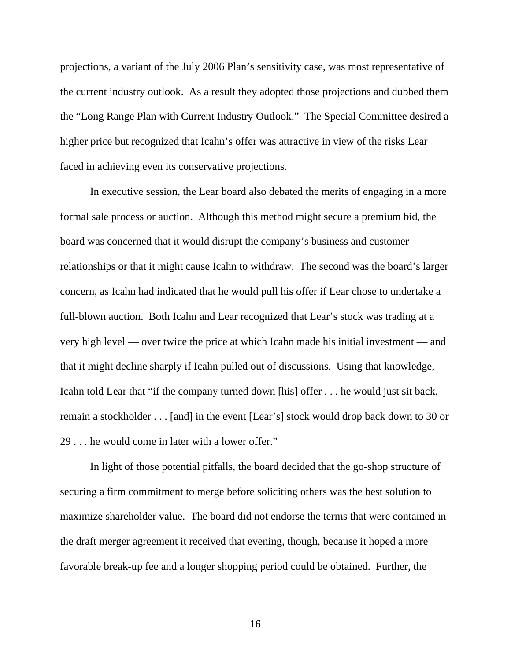projections, a variant of the July 2006 Plan's sensitivity case, was most representative of the current industry outlook. As a result they adopted those projections and dubbed them the "Long Range Plan with Current Industry Outlook." The Special Committee desired a higher price but recognized that Icahn's offer was attractive in view of the risks Lear faced in achieving even its conservative projections.

In executive session, the Lear board also debated the merits of engaging in a more formal sale process or auction. Although this method might secure a premium bid, the board was concerned that it would disrupt the company's business and customer relationships or that it might cause Icahn to withdraw. The second was the board's larger concern, as Icahn had indicated that he would pull his offer if Lear chose to undertake a full-blown auction. Both Icahn and Lear recognized that Lear's stock was trading at a very high level — over twice the price at which Icahn made his initial investment — and that it might decline sharply if Icahn pulled out of discussions. Using that knowledge, Icahn told Lear that "if the company turned down [his] offer . . . he would just sit back, remain a stockholder . . . [and] in the event [Lear's] stock would drop back down to 30 or 29 . . . he would come in later with a lower offer."

In light of those potential pitfalls, the board decided that the go-shop structure of securing a firm commitment to merge before soliciting others was the best solution to maximize shareholder value. The board did not endorse the terms that were contained in the draft merger agreement it received that evening, though, because it hoped a more favorable break-up fee and a longer shopping period could be obtained. Further, the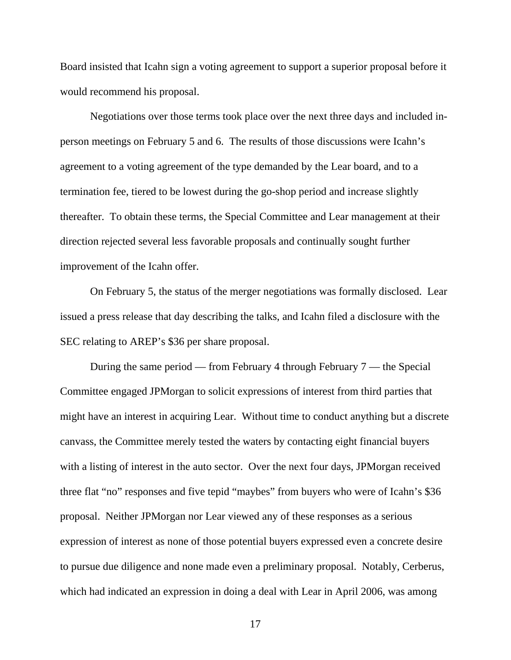Board insisted that Icahn sign a voting agreement to support a superior proposal before it would recommend his proposal.

Negotiations over those terms took place over the next three days and included inperson meetings on February 5 and 6. The results of those discussions were Icahn's agreement to a voting agreement of the type demanded by the Lear board, and to a termination fee, tiered to be lowest during the go-shop period and increase slightly thereafter. To obtain these terms, the Special Committee and Lear management at their direction rejected several less favorable proposals and continually sought further improvement of the Icahn offer.

On February 5, the status of the merger negotiations was formally disclosed. Lear issued a press release that day describing the talks, and Icahn filed a disclosure with the SEC relating to AREP's \$36 per share proposal.

During the same period — from February 4 through February 7 — the Special Committee engaged JPMorgan to solicit expressions of interest from third parties that might have an interest in acquiring Lear. Without time to conduct anything but a discrete canvass, the Committee merely tested the waters by contacting eight financial buyers with a listing of interest in the auto sector. Over the next four days, JPMorgan received three flat "no" responses and five tepid "maybes" from buyers who were of Icahn's \$36 proposal. Neither JPMorgan nor Lear viewed any of these responses as a serious expression of interest as none of those potential buyers expressed even a concrete desire to pursue due diligence and none made even a preliminary proposal. Notably, Cerberus, which had indicated an expression in doing a deal with Lear in April 2006, was among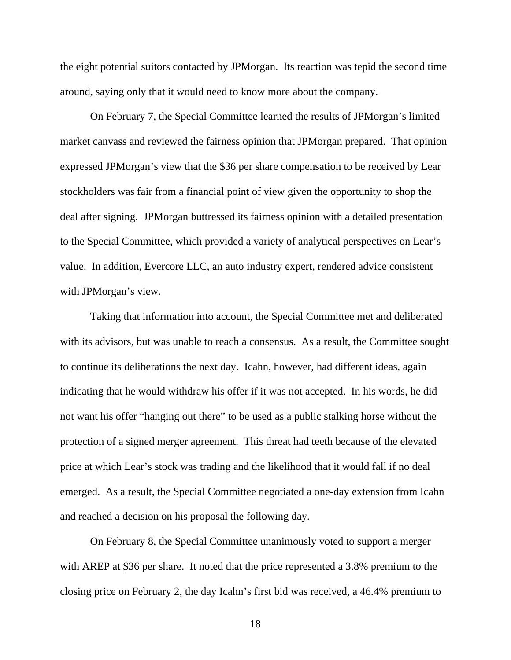the eight potential suitors contacted by JPMorgan. Its reaction was tepid the second time around, saying only that it would need to know more about the company.

On February 7, the Special Committee learned the results of JPMorgan's limited market canvass and reviewed the fairness opinion that JPMorgan prepared. That opinion expressed JPMorgan's view that the \$36 per share compensation to be received by Lear stockholders was fair from a financial point of view given the opportunity to shop the deal after signing. JPMorgan buttressed its fairness opinion with a detailed presentation to the Special Committee, which provided a variety of analytical perspectives on Lear's value. In addition, Evercore LLC, an auto industry expert, rendered advice consistent with JPMorgan's view.

Taking that information into account, the Special Committee met and deliberated with its advisors, but was unable to reach a consensus. As a result, the Committee sought to continue its deliberations the next day. Icahn, however, had different ideas, again indicating that he would withdraw his offer if it was not accepted. In his words, he did not want his offer "hanging out there" to be used as a public stalking horse without the protection of a signed merger agreement. This threat had teeth because of the elevated price at which Lear's stock was trading and the likelihood that it would fall if no deal emerged. As a result, the Special Committee negotiated a one-day extension from Icahn and reached a decision on his proposal the following day.

On February 8, the Special Committee unanimously voted to support a merger with AREP at \$36 per share. It noted that the price represented a 3.8% premium to the closing price on February 2, the day Icahn's first bid was received, a 46.4% premium to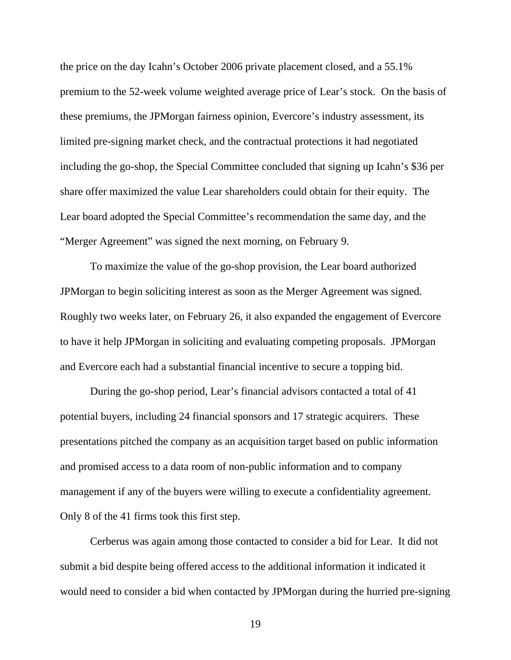the price on the day Icahn's October 2006 private placement closed, and a 55.1% premium to the 52-week volume weighted average price of Lear's stock. On the basis of these premiums, the JPMorgan fairness opinion, Evercore's industry assessment, its limited pre-signing market check, and the contractual protections it had negotiated including the go-shop, the Special Committee concluded that signing up Icahn's \$36 per share offer maximized the value Lear shareholders could obtain for their equity. The Lear board adopted the Special Committee's recommendation the same day, and the "Merger Agreement" was signed the next morning, on February 9.

To maximize the value of the go-shop provision, the Lear board authorized JPMorgan to begin soliciting interest as soon as the Merger Agreement was signed. Roughly two weeks later, on February 26, it also expanded the engagement of Evercore to have it help JPMorgan in soliciting and evaluating competing proposals. JPMorgan and Evercore each had a substantial financial incentive to secure a topping bid.

During the go-shop period, Lear's financial advisors contacted a total of 41 potential buyers, including 24 financial sponsors and 17 strategic acquirers. These presentations pitched the company as an acquisition target based on public information and promised access to a data room of non-public information and to company management if any of the buyers were willing to execute a confidentiality agreement. Only 8 of the 41 firms took this first step.

Cerberus was again among those contacted to consider a bid for Lear. It did not submit a bid despite being offered access to the additional information it indicated it would need to consider a bid when contacted by JPMorgan during the hurried pre-signing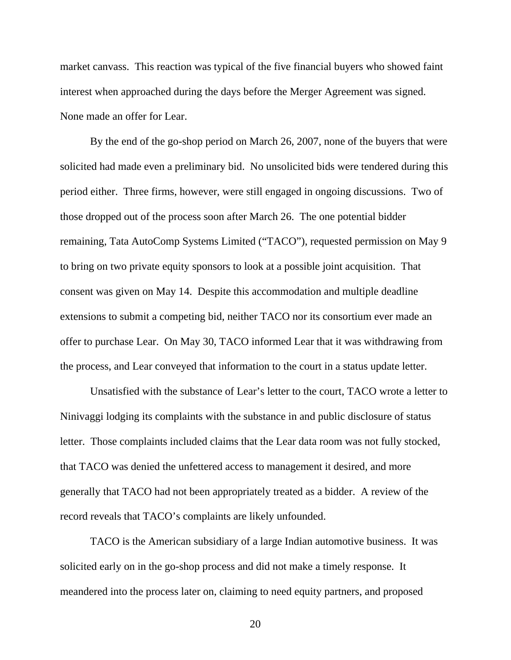market canvass. This reaction was typical of the five financial buyers who showed faint interest when approached during the days before the Merger Agreement was signed. None made an offer for Lear.

By the end of the go-shop period on March 26, 2007, none of the buyers that were solicited had made even a preliminary bid. No unsolicited bids were tendered during this period either. Three firms, however, were still engaged in ongoing discussions. Two of those dropped out of the process soon after March 26. The one potential bidder remaining, Tata AutoComp Systems Limited ("TACO"), requested permission on May 9 to bring on two private equity sponsors to look at a possible joint acquisition. That consent was given on May 14. Despite this accommodation and multiple deadline extensions to submit a competing bid, neither TACO nor its consortium ever made an offer to purchase Lear. On May 30, TACO informed Lear that it was withdrawing from the process, and Lear conveyed that information to the court in a status update letter.

Unsatisfied with the substance of Lear's letter to the court, TACO wrote a letter to Ninivaggi lodging its complaints with the substance in and public disclosure of status letter. Those complaints included claims that the Lear data room was not fully stocked, that TACO was denied the unfettered access to management it desired, and more generally that TACO had not been appropriately treated as a bidder. A review of the record reveals that TACO's complaints are likely unfounded.

TACO is the American subsidiary of a large Indian automotive business. It was solicited early on in the go-shop process and did not make a timely response. It meandered into the process later on, claiming to need equity partners, and proposed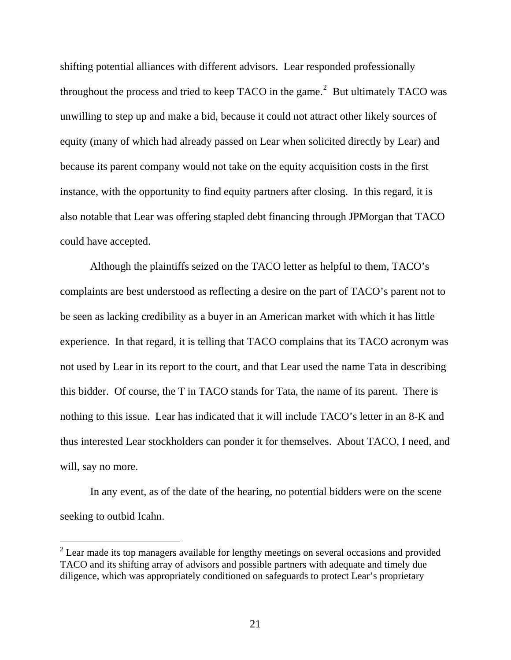shifting potential alliances with different advisors. Lear responded professionally throughout the process and tried to keep TACO in the game.<sup>[2](#page-21-0)</sup> But ultimately TACO was unwilling to step up and make a bid, because it could not attract other likely sources of equity (many of which had already passed on Lear when solicited directly by Lear) and because its parent company would not take on the equity acquisition costs in the first instance, with the opportunity to find equity partners after closing. In this regard, it is also notable that Lear was offering stapled debt financing through JPMorgan that TACO could have accepted.

Although the plaintiffs seized on the TACO letter as helpful to them, TACO's complaints are best understood as reflecting a desire on the part of TACO's parent not to be seen as lacking credibility as a buyer in an American market with which it has little experience. In that regard, it is telling that TACO complains that its TACO acronym was not used by Lear in its report to the court, and that Lear used the name Tata in describing this bidder. Of course, the T in TACO stands for Tata, the name of its parent. There is nothing to this issue. Lear has indicated that it will include TACO's letter in an 8-K and thus interested Lear stockholders can ponder it for themselves. About TACO, I need, and will, say no more.

In any event, as of the date of the hearing, no potential bidders were on the scene seeking to outbid Icahn.

<span id="page-21-0"></span><sup>&</sup>lt;sup>2</sup> Lear made its top managers available for lengthy meetings on several occasions and provided TACO and its shifting array of advisors and possible partners with adequate and timely due diligence, which was appropriately conditioned on safeguards to protect Lear's proprietary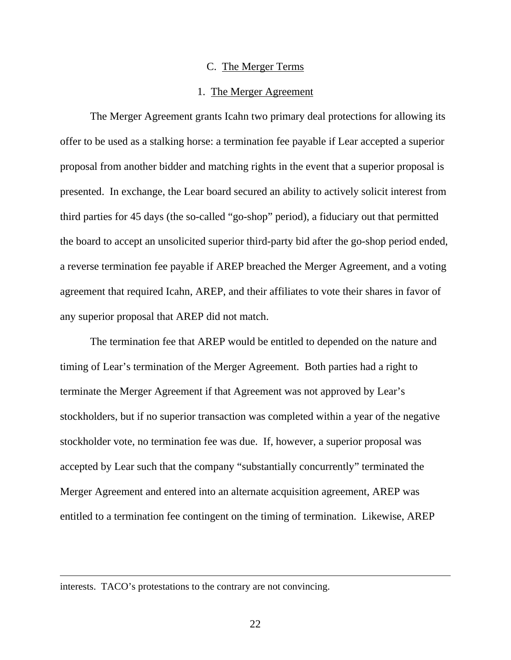### C. The Merger Terms

### 1. The Merger Agreement

The Merger Agreement grants Icahn two primary deal protections for allowing its offer to be used as a stalking horse: a termination fee payable if Lear accepted a superior proposal from another bidder and matching rights in the event that a superior proposal is presented. In exchange, the Lear board secured an ability to actively solicit interest from third parties for 45 days (the so-called "go-shop" period), a fiduciary out that permitted the board to accept an unsolicited superior third-party bid after the go-shop period ended, a reverse termination fee payable if AREP breached the Merger Agreement, and a voting agreement that required Icahn, AREP, and their affiliates to vote their shares in favor of any superior proposal that AREP did not match.

 The termination fee that AREP would be entitled to depended on the nature and timing of Lear's termination of the Merger Agreement. Both parties had a right to terminate the Merger Agreement if that Agreement was not approved by Lear's stockholders, but if no superior transaction was completed within a year of the negative stockholder vote, no termination fee was due. If, however, a superior proposal was accepted by Lear such that the company "substantially concurrently" terminated the Merger Agreement and entered into an alternate acquisition agreement, AREP was entitled to a termination fee contingent on the timing of termination. Likewise, AREP

interests. TACO's protestations to the contrary are not convincing.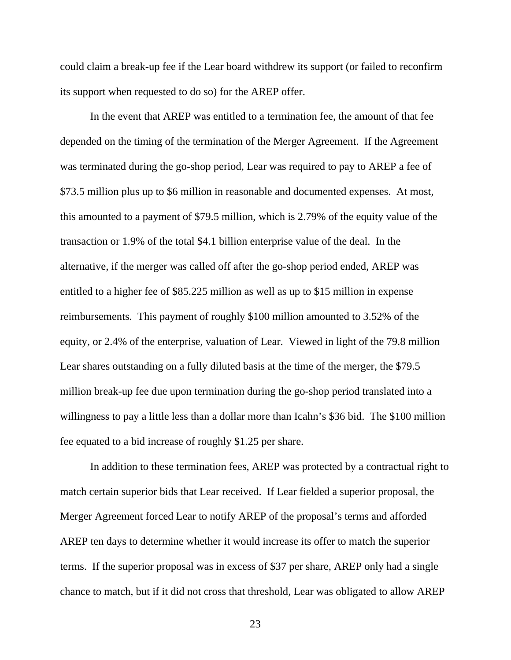could claim a break-up fee if the Lear board withdrew its support (or failed to reconfirm its support when requested to do so) for the AREP offer.

In the event that AREP was entitled to a termination fee, the amount of that fee depended on the timing of the termination of the Merger Agreement. If the Agreement was terminated during the go-shop period, Lear was required to pay to AREP a fee of \$73.5 million plus up to \$6 million in reasonable and documented expenses. At most, this amounted to a payment of \$79.5 million, which is 2.79% of the equity value of the transaction or 1.9% of the total \$4.1 billion enterprise value of the deal. In the alternative, if the merger was called off after the go-shop period ended, AREP was entitled to a higher fee of \$85.225 million as well as up to \$15 million in expense reimbursements. This payment of roughly \$100 million amounted to 3.52% of the equity, or 2.4% of the enterprise, valuation of Lear. Viewed in light of the 79.8 million Lear shares outstanding on a fully diluted basis at the time of the merger, the \$79.5 million break-up fee due upon termination during the go-shop period translated into a willingness to pay a little less than a dollar more than Icahn's \$36 bid. The \$100 million fee equated to a bid increase of roughly \$1.25 per share.

 In addition to these termination fees, AREP was protected by a contractual right to match certain superior bids that Lear received. If Lear fielded a superior proposal, the Merger Agreement forced Lear to notify AREP of the proposal's terms and afforded AREP ten days to determine whether it would increase its offer to match the superior terms. If the superior proposal was in excess of \$37 per share, AREP only had a single chance to match, but if it did not cross that threshold, Lear was obligated to allow AREP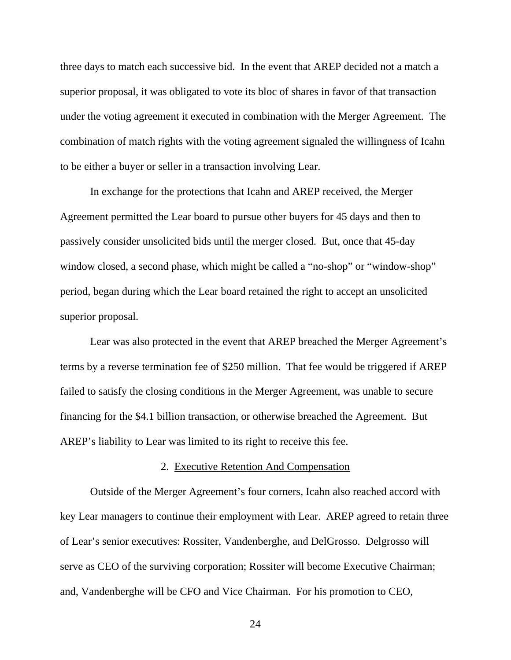three days to match each successive bid. In the event that AREP decided not a match a superior proposal, it was obligated to vote its bloc of shares in favor of that transaction under the voting agreement it executed in combination with the Merger Agreement. The combination of match rights with the voting agreement signaled the willingness of Icahn to be either a buyer or seller in a transaction involving Lear.

 In exchange for the protections that Icahn and AREP received, the Merger Agreement permitted the Lear board to pursue other buyers for 45 days and then to passively consider unsolicited bids until the merger closed. But, once that 45-day window closed, a second phase, which might be called a "no-shop" or "window-shop" period, began during which the Lear board retained the right to accept an unsolicited superior proposal.

 Lear was also protected in the event that AREP breached the Merger Agreement's terms by a reverse termination fee of \$250 million. That fee would be triggered if AREP failed to satisfy the closing conditions in the Merger Agreement, was unable to secure financing for the \$4.1 billion transaction, or otherwise breached the Agreement. But AREP's liability to Lear was limited to its right to receive this fee.

#### 2. Executive Retention And Compensation

 Outside of the Merger Agreement's four corners, Icahn also reached accord with key Lear managers to continue their employment with Lear. AREP agreed to retain three of Lear's senior executives: Rossiter, Vandenberghe, and DelGrosso. Delgrosso will serve as CEO of the surviving corporation; Rossiter will become Executive Chairman; and, Vandenberghe will be CFO and Vice Chairman. For his promotion to CEO,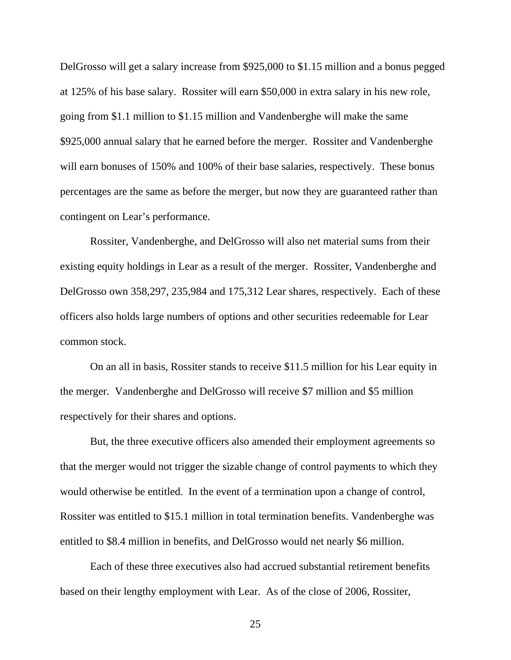DelGrosso will get a salary increase from \$925,000 to \$1.15 million and a bonus pegged at 125% of his base salary. Rossiter will earn \$50,000 in extra salary in his new role, going from \$1.1 million to \$1.15 million and Vandenberghe will make the same \$925,000 annual salary that he earned before the merger. Rossiter and Vandenberghe will earn bonuses of 150% and 100% of their base salaries, respectively. These bonus percentages are the same as before the merger, but now they are guaranteed rather than contingent on Lear's performance.

Rossiter, Vandenberghe, and DelGrosso will also net material sums from their existing equity holdings in Lear as a result of the merger. Rossiter, Vandenberghe and DelGrosso own 358,297, 235,984 and 175,312 Lear shares, respectively. Each of these officers also holds large numbers of options and other securities redeemable for Lear common stock.

On an all in basis, Rossiter stands to receive \$11.5 million for his Lear equity in the merger. Vandenberghe and DelGrosso will receive \$7 million and \$5 million respectively for their shares and options.

But, the three executive officers also amended their employment agreements so that the merger would not trigger the sizable change of control payments to which they would otherwise be entitled. In the event of a termination upon a change of control, Rossiter was entitled to \$15.1 million in total termination benefits. Vandenberghe was entitled to \$8.4 million in benefits, and DelGrosso would net nearly \$6 million.

Each of these three executives also had accrued substantial retirement benefits based on their lengthy employment with Lear. As of the close of 2006, Rossiter,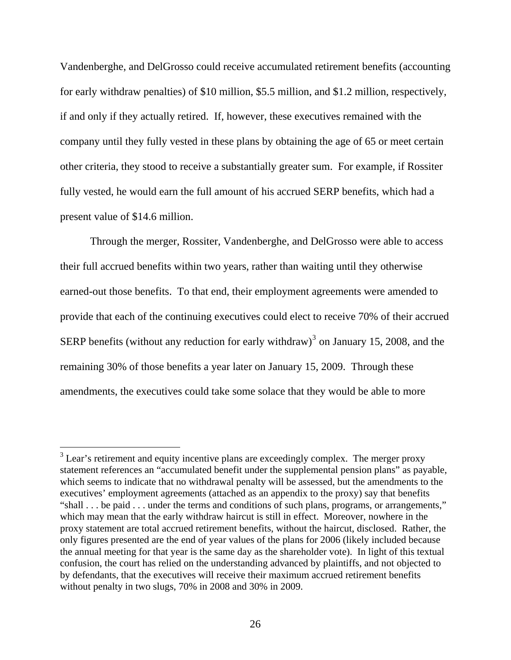Vandenberghe, and DelGrosso could receive accumulated retirement benefits (accounting for early withdraw penalties) of \$10 million, \$5.5 million, and \$1.2 million, respectively, if and only if they actually retired. If, however, these executives remained with the company until they fully vested in these plans by obtaining the age of 65 or meet certain other criteria, they stood to receive a substantially greater sum. For example, if Rossiter fully vested, he would earn the full amount of his accrued SERP benefits, which had a present value of \$14.6 million.

Through the merger, Rossiter, Vandenberghe, and DelGrosso were able to access their full accrued benefits within two years, rather than waiting until they otherwise earned-out those benefits. To that end, their employment agreements were amended to provide that each of the continuing executives could elect to receive 70% of their accrued SERP benefits (without any reduction for early withdraw)<sup>[3](#page-26-0)</sup> on January 15, 2008, and the remaining 30% of those benefits a year later on January 15, 2009. Through these amendments, the executives could take some solace that they would be able to more

<span id="page-26-0"></span> $3$  Lear's retirement and equity incentive plans are exceedingly complex. The merger proxy statement references an "accumulated benefit under the supplemental pension plans" as payable, which seems to indicate that no withdrawal penalty will be assessed, but the amendments to the executives' employment agreements (attached as an appendix to the proxy) say that benefits "shall . . . be paid . . . under the terms and conditions of such plans, programs, or arrangements," which may mean that the early withdraw haircut is still in effect. Moreover, nowhere in the proxy statement are total accrued retirement benefits, without the haircut, disclosed. Rather, the only figures presented are the end of year values of the plans for 2006 (likely included because the annual meeting for that year is the same day as the shareholder vote). In light of this textual confusion, the court has relied on the understanding advanced by plaintiffs, and not objected to by defendants, that the executives will receive their maximum accrued retirement benefits without penalty in two slugs, 70% in 2008 and 30% in 2009.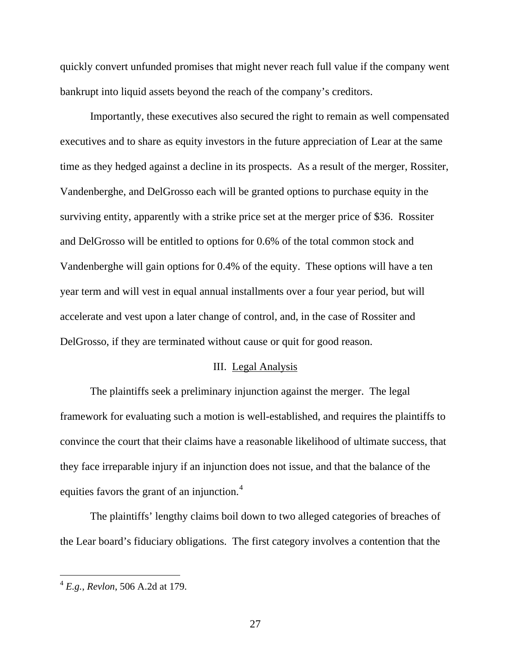quickly convert unfunded promises that might never reach full value if the company went bankrupt into liquid assets beyond the reach of the company's creditors.

Importantly, these executives also secured the right to remain as well compensated executives and to share as equity investors in the future appreciation of Lear at the same time as they hedged against a decline in its prospects. As a result of the merger, Rossiter, Vandenberghe, and DelGrosso each will be granted options to purchase equity in the surviving entity, apparently with a strike price set at the merger price of \$36. Rossiter and DelGrosso will be entitled to options for 0.6% of the total common stock and Vandenberghe will gain options for 0.4% of the equity. These options will have a ten year term and will vest in equal annual installments over a four year period, but will accelerate and vest upon a later change of control, and, in the case of Rossiter and DelGrosso, if they are terminated without cause or quit for good reason.

### III. Legal Analysis

 The plaintiffs seek a preliminary injunction against the merger. The legal framework for evaluating such a motion is well-established, and requires the plaintiffs to convince the court that their claims have a reasonable likelihood of ultimate success, that they face irreparable injury if an injunction does not issue, and that the balance of the equities favors the grant of an injunction.<sup>[4](#page-27-0)</sup>

The plaintiffs' lengthy claims boil down to two alleged categories of breaches of the Lear board's fiduciary obligations. The first category involves a contention that the

<span id="page-27-0"></span><sup>4</sup> *E.g.*, *Revlon*, 506 A.2d at 179.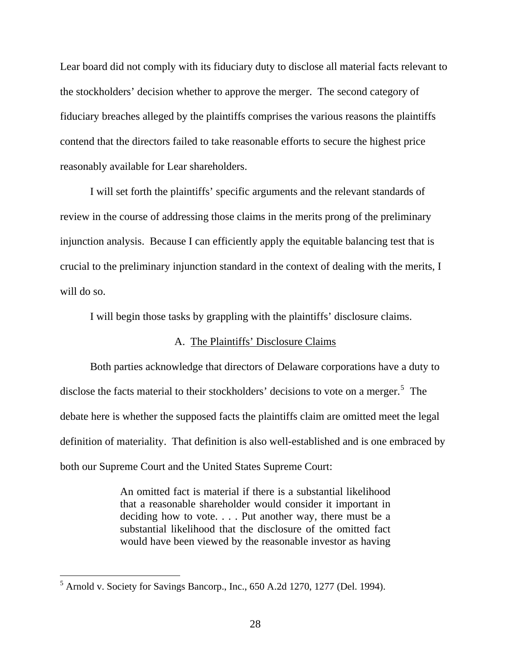Lear board did not comply with its fiduciary duty to disclose all material facts relevant to the stockholders' decision whether to approve the merger. The second category of fiduciary breaches alleged by the plaintiffs comprises the various reasons the plaintiffs contend that the directors failed to take reasonable efforts to secure the highest price reasonably available for Lear shareholders.

I will set forth the plaintiffs' specific arguments and the relevant standards of review in the course of addressing those claims in the merits prong of the preliminary injunction analysis. Because I can efficiently apply the equitable balancing test that is crucial to the preliminary injunction standard in the context of dealing with the merits, I will do so.

I will begin those tasks by grappling with the plaintiffs' disclosure claims.

#### A. The Plaintiffs' Disclosure Claims

 Both parties acknowledge that directors of Delaware corporations have a duty to disclose the facts material to their stockholders' decisions to vote on a merger.<sup>[5](#page-28-0)</sup> The debate here is whether the supposed facts the plaintiffs claim are omitted meet the legal definition of materiality. That definition is also well-established and is one embraced by both our Supreme Court and the United States Supreme Court:

> An omitted fact is material if there is a substantial likelihood that a reasonable shareholder would consider it important in deciding how to vote. . . . Put another way, there must be a substantial likelihood that the disclosure of the omitted fact would have been viewed by the reasonable investor as having

<span id="page-28-0"></span> 5 Arnold v. Society for Savings Bancorp., Inc., 650 A.2d 1270, 1277 (Del. 1994).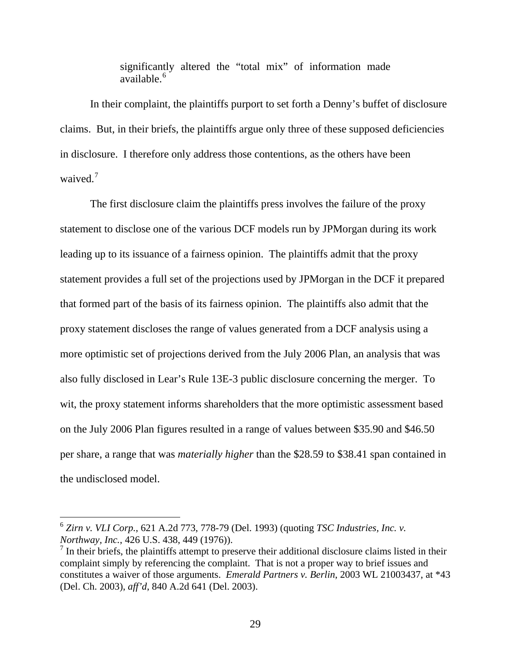significantly altered the "total mix" of information made available. $6$ 

 In their complaint, the plaintiffs purport to set forth a Denny's buffet of disclosure claims. But, in their briefs, the plaintiffs argue only three of these supposed deficiencies in disclosure. I therefore only address those contentions, as the others have been waived.<sup>[7](#page-29-1)</sup>

The first disclosure claim the plaintiffs press involves the failure of the proxy statement to disclose one of the various DCF models run by JPMorgan during its work leading up to its issuance of a fairness opinion. The plaintiffs admit that the proxy statement provides a full set of the projections used by JPMorgan in the DCF it prepared that formed part of the basis of its fairness opinion. The plaintiffs also admit that the proxy statement discloses the range of values generated from a DCF analysis using a more optimistic set of projections derived from the July 2006 Plan, an analysis that was also fully disclosed in Lear's Rule 13E-3 public disclosure concerning the merger. To wit, the proxy statement informs shareholders that the more optimistic assessment based on the July 2006 Plan figures resulted in a range of values between \$35.90 and \$46.50 per share, a range that was *materially higher* than the \$28.59 to \$38.41 span contained in the undisclosed model.

<span id="page-29-0"></span><sup>6</sup> *Zirn v. VLI Corp.*, 621 A.2d 773, 778-79 (Del. 1993) (quoting *TSC Industries, Inc. v. Northway, Inc.*, 426 U.S. 438, 449 (1976)).

<span id="page-29-1"></span> $<sup>7</sup>$  In their briefs, the plaintiffs attempt to preserve their additional disclosure claims listed in their</sup> complaint simply by referencing the complaint. That is not a proper way to brief issues and constitutes a waiver of those arguments. *Emerald Partners v. Berlin*, 2003 WL 21003437, at \*43 (Del. Ch. 2003), *aff'd*, 840 A.2d 641 (Del. 2003).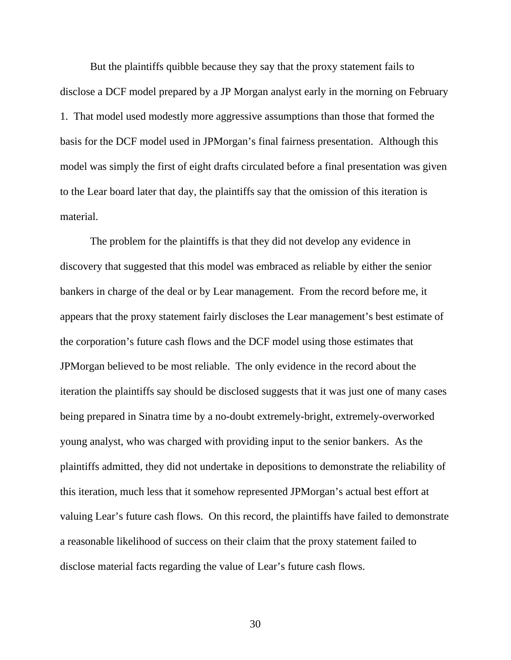But the plaintiffs quibble because they say that the proxy statement fails to disclose a DCF model prepared by a JP Morgan analyst early in the morning on February 1. That model used modestly more aggressive assumptions than those that formed the basis for the DCF model used in JPMorgan's final fairness presentation. Although this model was simply the first of eight drafts circulated before a final presentation was given to the Lear board later that day, the plaintiffs say that the omission of this iteration is material.

The problem for the plaintiffs is that they did not develop any evidence in discovery that suggested that this model was embraced as reliable by either the senior bankers in charge of the deal or by Lear management. From the record before me, it appears that the proxy statement fairly discloses the Lear management's best estimate of the corporation's future cash flows and the DCF model using those estimates that JPMorgan believed to be most reliable. The only evidence in the record about the iteration the plaintiffs say should be disclosed suggests that it was just one of many cases being prepared in Sinatra time by a no-doubt extremely-bright, extremely-overworked young analyst, who was charged with providing input to the senior bankers. As the plaintiffs admitted, they did not undertake in depositions to demonstrate the reliability of this iteration, much less that it somehow represented JPMorgan's actual best effort at valuing Lear's future cash flows. On this record, the plaintiffs have failed to demonstrate a reasonable likelihood of success on their claim that the proxy statement failed to disclose material facts regarding the value of Lear's future cash flows.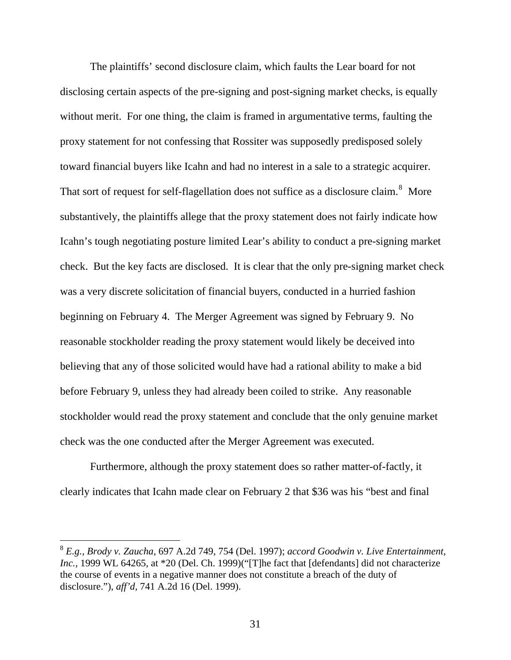The plaintiffs' second disclosure claim, which faults the Lear board for not disclosing certain aspects of the pre-signing and post-signing market checks, is equally without merit. For one thing, the claim is framed in argumentative terms, faulting the proxy statement for not confessing that Rossiter was supposedly predisposed solely toward financial buyers like Icahn and had no interest in a sale to a strategic acquirer. That sort of request for self-flagellation does not suffice as a disclosure claim. $8$  More substantively, the plaintiffs allege that the proxy statement does not fairly indicate how Icahn's tough negotiating posture limited Lear's ability to conduct a pre-signing market check. But the key facts are disclosed. It is clear that the only pre-signing market check was a very discrete solicitation of financial buyers, conducted in a hurried fashion beginning on February 4. The Merger Agreement was signed by February 9. No reasonable stockholder reading the proxy statement would likely be deceived into believing that any of those solicited would have had a rational ability to make a bid before February 9, unless they had already been coiled to strike. Any reasonable stockholder would read the proxy statement and conclude that the only genuine market check was the one conducted after the Merger Agreement was executed.

Furthermore, although the proxy statement does so rather matter-of-factly, it clearly indicates that Icahn made clear on February 2 that \$36 was his "best and final

<span id="page-31-0"></span><sup>8</sup> *E.g., Brody v. Zaucha,* 697 A.2d 749, 754 (Del. 1997); *accord Goodwin v. Live Entertainment, Inc.,* 1999 WL 64265, at \*20 (Del. Ch. 1999)("[T]he fact that [defendants] did not characterize the course of events in a negative manner does not constitute a breach of the duty of disclosure."), *aff'd,* 741 A.2d 16 (Del. 1999).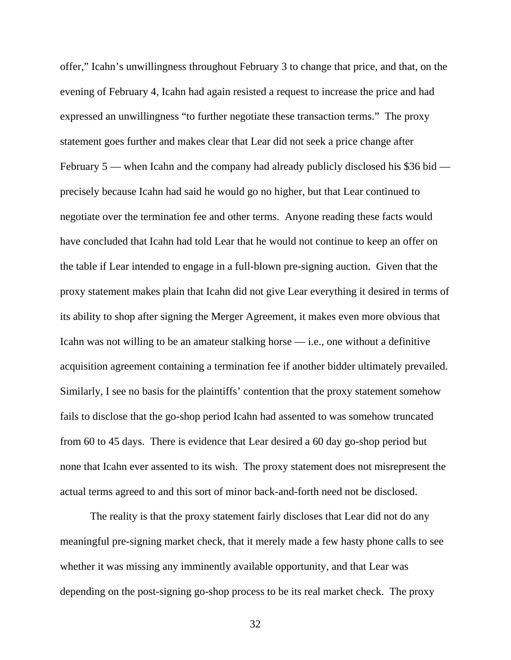offer," Icahn's unwillingness throughout February 3 to change that price, and that, on the evening of February 4, Icahn had again resisted a request to increase the price and had expressed an unwillingness "to further negotiate these transaction terms." The proxy statement goes further and makes clear that Lear did not seek a price change after February 5 — when Icahn and the company had already publicly disclosed his \$36 bid precisely because Icahn had said he would go no higher, but that Lear continued to negotiate over the termination fee and other terms. Anyone reading these facts would have concluded that Icahn had told Lear that he would not continue to keep an offer on the table if Lear intended to engage in a full-blown pre-signing auction. Given that the proxy statement makes plain that Icahn did not give Lear everything it desired in terms of its ability to shop after signing the Merger Agreement, it makes even more obvious that Icahn was not willing to be an amateur stalking horse  $-$  i.e., one without a definitive acquisition agreement containing a termination fee if another bidder ultimately prevailed. Similarly, I see no basis for the plaintiffs' contention that the proxy statement somehow fails to disclose that the go-shop period Icahn had assented to was somehow truncated from 60 to 45 days. There is evidence that Lear desired a 60 day go-shop period but none that Icahn ever assented to its wish. The proxy statement does not misrepresent the actual terms agreed to and this sort of minor back-and-forth need not be disclosed.

 The reality is that the proxy statement fairly discloses that Lear did not do any meaningful pre-signing market check, that it merely made a few hasty phone calls to see whether it was missing any imminently available opportunity, and that Lear was depending on the post-signing go-shop process to be its real market check. The proxy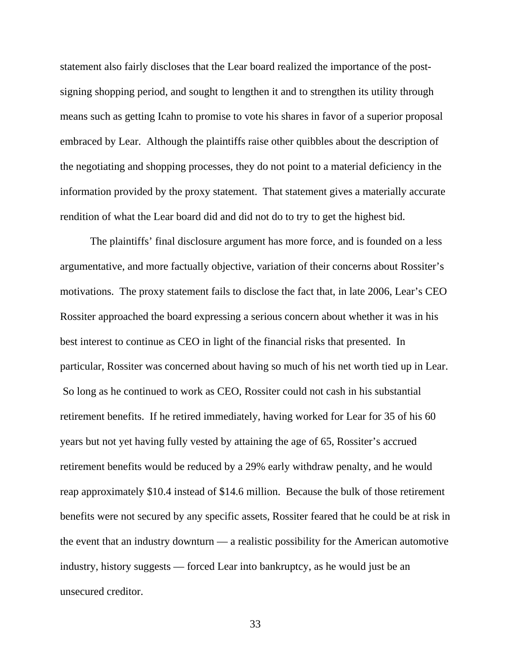statement also fairly discloses that the Lear board realized the importance of the postsigning shopping period, and sought to lengthen it and to strengthen its utility through means such as getting Icahn to promise to vote his shares in favor of a superior proposal embraced by Lear. Although the plaintiffs raise other quibbles about the description of the negotiating and shopping processes, they do not point to a material deficiency in the information provided by the proxy statement. That statement gives a materially accurate rendition of what the Lear board did and did not do to try to get the highest bid.

 The plaintiffs' final disclosure argument has more force, and is founded on a less argumentative, and more factually objective, variation of their concerns about Rossiter's motivations. The proxy statement fails to disclose the fact that, in late 2006, Lear's CEO Rossiter approached the board expressing a serious concern about whether it was in his best interest to continue as CEO in light of the financial risks that presented. In particular, Rossiter was concerned about having so much of his net worth tied up in Lear. So long as he continued to work as CEO, Rossiter could not cash in his substantial retirement benefits. If he retired immediately, having worked for Lear for 35 of his 60 years but not yet having fully vested by attaining the age of 65, Rossiter's accrued retirement benefits would be reduced by a 29% early withdraw penalty, and he would reap approximately \$10.4 instead of \$14.6 million. Because the bulk of those retirement benefits were not secured by any specific assets, Rossiter feared that he could be at risk in the event that an industry downturn — a realistic possibility for the American automotive industry, history suggests — forced Lear into bankruptcy, as he would just be an unsecured creditor.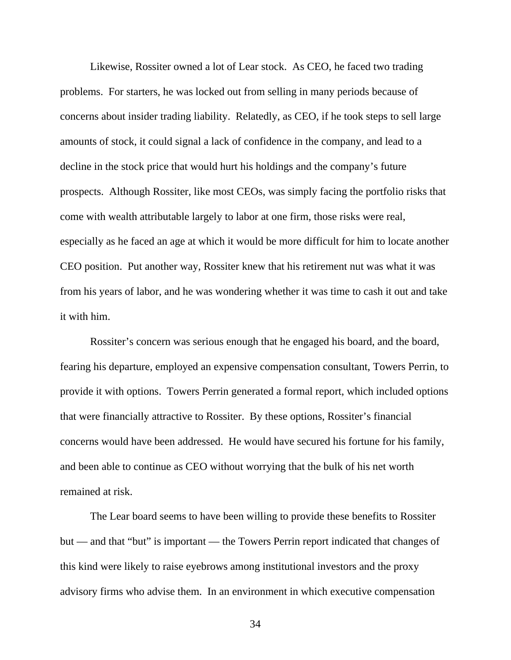Likewise, Rossiter owned a lot of Lear stock. As CEO, he faced two trading problems. For starters, he was locked out from selling in many periods because of concerns about insider trading liability. Relatedly, as CEO, if he took steps to sell large amounts of stock, it could signal a lack of confidence in the company, and lead to a decline in the stock price that would hurt his holdings and the company's future prospects. Although Rossiter, like most CEOs, was simply facing the portfolio risks that come with wealth attributable largely to labor at one firm, those risks were real, especially as he faced an age at which it would be more difficult for him to locate another CEO position. Put another way, Rossiter knew that his retirement nut was what it was from his years of labor, and he was wondering whether it was time to cash it out and take it with him.

 Rossiter's concern was serious enough that he engaged his board, and the board, fearing his departure, employed an expensive compensation consultant, Towers Perrin, to provide it with options. Towers Perrin generated a formal report, which included options that were financially attractive to Rossiter. By these options, Rossiter's financial concerns would have been addressed. He would have secured his fortune for his family, and been able to continue as CEO without worrying that the bulk of his net worth remained at risk.

 The Lear board seems to have been willing to provide these benefits to Rossiter but — and that "but" is important — the Towers Perrin report indicated that changes of this kind were likely to raise eyebrows among institutional investors and the proxy advisory firms who advise them. In an environment in which executive compensation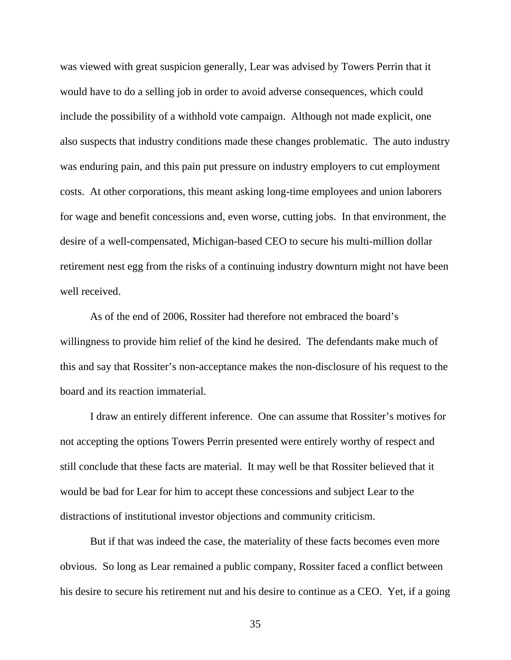was viewed with great suspicion generally, Lear was advised by Towers Perrin that it would have to do a selling job in order to avoid adverse consequences, which could include the possibility of a withhold vote campaign. Although not made explicit, one also suspects that industry conditions made these changes problematic. The auto industry was enduring pain, and this pain put pressure on industry employers to cut employment costs. At other corporations, this meant asking long-time employees and union laborers for wage and benefit concessions and, even worse, cutting jobs. In that environment, the desire of a well-compensated, Michigan-based CEO to secure his multi-million dollar retirement nest egg from the risks of a continuing industry downturn might not have been well received.

 As of the end of 2006, Rossiter had therefore not embraced the board's willingness to provide him relief of the kind he desired. The defendants make much of this and say that Rossiter's non-acceptance makes the non-disclosure of his request to the board and its reaction immaterial.

 I draw an entirely different inference. One can assume that Rossiter's motives for not accepting the options Towers Perrin presented were entirely worthy of respect and still conclude that these facts are material. It may well be that Rossiter believed that it would be bad for Lear for him to accept these concessions and subject Lear to the distractions of institutional investor objections and community criticism.

 But if that was indeed the case, the materiality of these facts becomes even more obvious. So long as Lear remained a public company, Rossiter faced a conflict between his desire to secure his retirement nut and his desire to continue as a CEO. Yet, if a going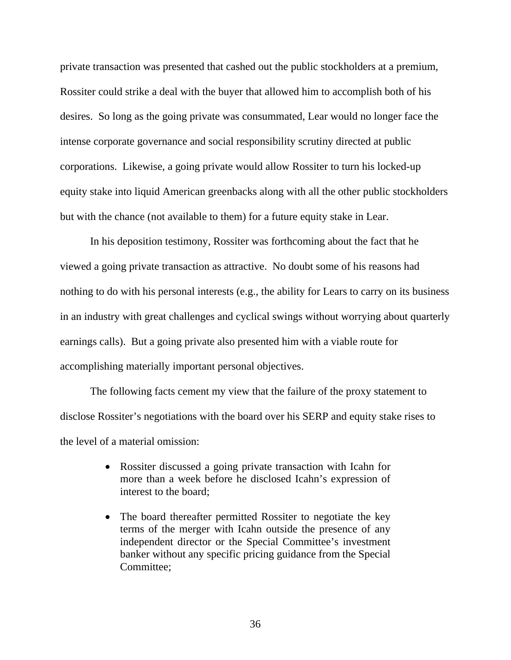private transaction was presented that cashed out the public stockholders at a premium, Rossiter could strike a deal with the buyer that allowed him to accomplish both of his desires. So long as the going private was consummated, Lear would no longer face the intense corporate governance and social responsibility scrutiny directed at public corporations. Likewise, a going private would allow Rossiter to turn his locked-up equity stake into liquid American greenbacks along with all the other public stockholders but with the chance (not available to them) for a future equity stake in Lear.

 In his deposition testimony, Rossiter was forthcoming about the fact that he viewed a going private transaction as attractive. No doubt some of his reasons had nothing to do with his personal interests (e.g., the ability for Lears to carry on its business in an industry with great challenges and cyclical swings without worrying about quarterly earnings calls). But a going private also presented him with a viable route for accomplishing materially important personal objectives.

 The following facts cement my view that the failure of the proxy statement to disclose Rossiter's negotiations with the board over his SERP and equity stake rises to the level of a material omission:

- Rossiter discussed a going private transaction with Icahn for more than a week before he disclosed Icahn's expression of interest to the board;
- The board thereafter permitted Rossiter to negotiate the key terms of the merger with Icahn outside the presence of any independent director or the Special Committee's investment banker without any specific pricing guidance from the Special Committee;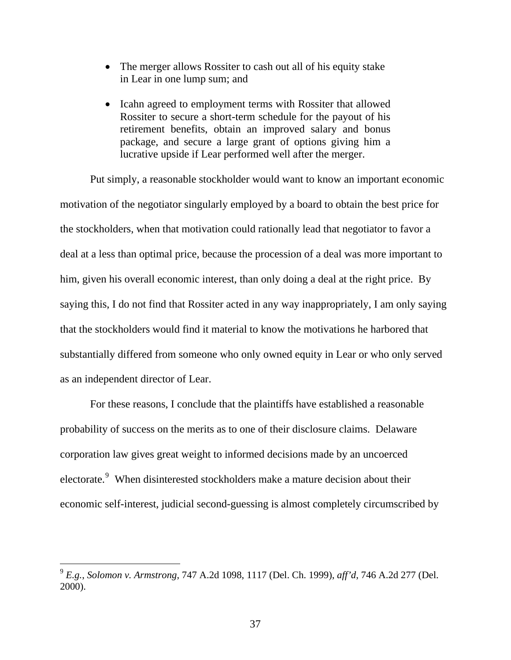- The merger allows Rossiter to cash out all of his equity stake in Lear in one lump sum; and
- Icahn agreed to employment terms with Rossiter that allowed Rossiter to secure a short-term schedule for the payout of his retirement benefits, obtain an improved salary and bonus package, and secure a large grant of options giving him a lucrative upside if Lear performed well after the merger.

Put simply, a reasonable stockholder would want to know an important economic motivation of the negotiator singularly employed by a board to obtain the best price for the stockholders, when that motivation could rationally lead that negotiator to favor a deal at a less than optimal price, because the procession of a deal was more important to him, given his overall economic interest, than only doing a deal at the right price. By saying this, I do not find that Rossiter acted in any way inappropriately, I am only saying that the stockholders would find it material to know the motivations he harbored that substantially differed from someone who only owned equity in Lear or who only served as an independent director of Lear.

For these reasons, I conclude that the plaintiffs have established a reasonable probability of success on the merits as to one of their disclosure claims. Delaware corporation law gives great weight to informed decisions made by an uncoerced electorate.<sup>[9](#page-37-0)</sup> When disinterested stockholders make a mature decision about their economic self-interest, judicial second-guessing is almost completely circumscribed by

<span id="page-37-0"></span><sup>9</sup> *E.g.*, *Solomon v. Armstrong*, 747 A.2d 1098, 1117 (Del. Ch. 1999), *aff'd*, 746 A.2d 277 (Del. 2000).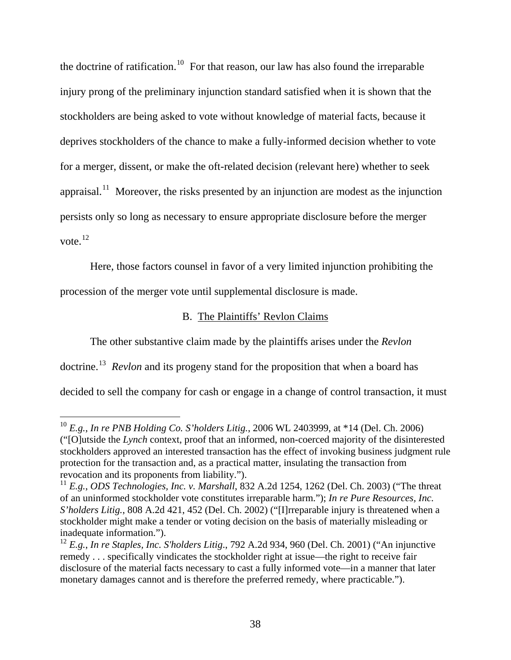the doctrine of ratification.<sup>[10](#page-38-0)</sup> For that reason, our law has also found the irreparable injury prong of the preliminary injunction standard satisfied when it is shown that the stockholders are being asked to vote without knowledge of material facts, because it deprives stockholders of the chance to make a fully-informed decision whether to vote for a merger, dissent, or make the oft-related decision (relevant here) whether to seek appraisal.<sup>[11](#page-38-1)</sup> Moreover, the risks presented by an injunction are modest as the injunction persists only so long as necessary to ensure appropriate disclosure before the merger vote.[12](#page-38-2)

Here, those factors counsel in favor of a very limited injunction prohibiting the procession of the merger vote until supplemental disclosure is made.

# B. The Plaintiffs' Revlon Claims

The other substantive claim made by the plaintiffs arises under the *Revlon* doctrine.<sup>[13](#page-38-3)</sup> *Revlon* and its progeny stand for the proposition that when a board has decided to sell the company for cash or engage in a change of control transaction, it must

<span id="page-38-0"></span><sup>10</sup> *E.g.*, *In re PNB Holding Co. S'holders Litig.*, 2006 WL 2403999, at \*14 (Del. Ch. 2006) ("[O]utside the *Lynch* context, proof that an informed, non-coerced majority of the disinterested stockholders approved an interested transaction has the effect of invoking business judgment rule protection for the transaction and, as a practical matter, insulating the transaction from revocation and its proponents from liability.").

<span id="page-38-1"></span><sup>11</sup> *E.g.*, *ODS Technologies, Inc. v. Marshall*, 832 A.2d 1254, 1262 (Del. Ch. 2003) ("The threat of an uninformed stockholder vote constitutes irreparable harm."); *In re Pure Resources, Inc. S'holders Litig.*, 808 A.2d 421, 452 (Del. Ch. 2002) ("[I]rreparable injury is threatened when a stockholder might make a tender or voting decision on the basis of materially misleading or inadequate information.").

<span id="page-38-3"></span><span id="page-38-2"></span><sup>12</sup> *E.g.*, *In re Staples, Inc. S'holders Litig*., 792 A.2d 934, 960 (Del. Ch. 2001) ("An injunctive remedy . . . specifically vindicates the stockholder right at issue—the right to receive fair disclosure of the material facts necessary to cast a fully informed vote—in a manner that later monetary damages cannot and is therefore the preferred remedy, where practicable.").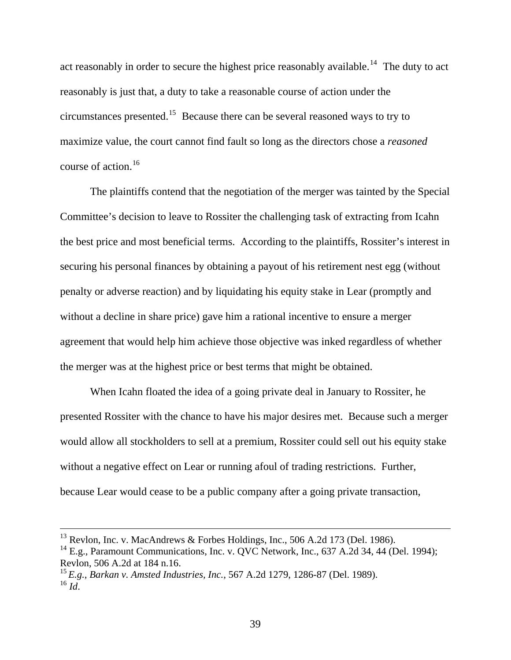act reasonably in order to secure the highest price reasonably available.<sup>[14](#page-39-0)</sup> The duty to act reasonably is just that, a duty to take a reasonable course of action under the circumstances presented.[15](#page-39-1) Because there can be several reasoned ways to try to maximize value, the court cannot find fault so long as the directors chose a *reasoned* course of action.[16](#page-39-2)

The plaintiffs contend that the negotiation of the merger was tainted by the Special Committee's decision to leave to Rossiter the challenging task of extracting from Icahn the best price and most beneficial terms. According to the plaintiffs, Rossiter's interest in securing his personal finances by obtaining a payout of his retirement nest egg (without penalty or adverse reaction) and by liquidating his equity stake in Lear (promptly and without a decline in share price) gave him a rational incentive to ensure a merger agreement that would help him achieve those objective was inked regardless of whether the merger was at the highest price or best terms that might be obtained.

When Icahn floated the idea of a going private deal in January to Rossiter, he presented Rossiter with the chance to have his major desires met. Because such a merger would allow all stockholders to sell at a premium, Rossiter could sell out his equity stake without a negative effect on Lear or running afoul of trading restrictions. Further, because Lear would cease to be a public company after a going private transaction,

 $13$  Revlon, Inc. v. MacAndrews & Forbes Holdings, Inc., 506 A.2d 173 (Del. 1986).

<span id="page-39-0"></span> $14$  E.g., Paramount Communications, Inc. v. OVC Network, Inc., 637 A.2d 34, 44 (Del. 1994); Revlon, 506 A.2d at 184 n.16.

<span id="page-39-2"></span><span id="page-39-1"></span><sup>15</sup>*E.g.*, *Barkan v. Amsted Industries, Inc.*, 567 A.2d 1279, 1286-87 (Del. 1989). <sup>16</sup> *Id*.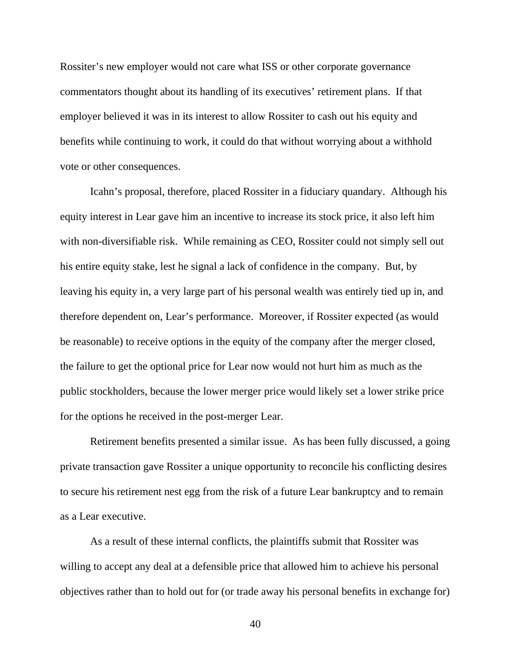Rossiter's new employer would not care what ISS or other corporate governance commentators thought about its handling of its executives' retirement plans. If that employer believed it was in its interest to allow Rossiter to cash out his equity and benefits while continuing to work, it could do that without worrying about a withhold vote or other consequences.

Icahn's proposal, therefore, placed Rossiter in a fiduciary quandary. Although his equity interest in Lear gave him an incentive to increase its stock price, it also left him with non-diversifiable risk. While remaining as CEO, Rossiter could not simply sell out his entire equity stake, lest he signal a lack of confidence in the company. But, by leaving his equity in, a very large part of his personal wealth was entirely tied up in, and therefore dependent on, Lear's performance. Moreover, if Rossiter expected (as would be reasonable) to receive options in the equity of the company after the merger closed, the failure to get the optional price for Lear now would not hurt him as much as the public stockholders, because the lower merger price would likely set a lower strike price for the options he received in the post-merger Lear.

Retirement benefits presented a similar issue. As has been fully discussed, a going private transaction gave Rossiter a unique opportunity to reconcile his conflicting desires to secure his retirement nest egg from the risk of a future Lear bankruptcy and to remain as a Lear executive.

As a result of these internal conflicts, the plaintiffs submit that Rossiter was willing to accept any deal at a defensible price that allowed him to achieve his personal objectives rather than to hold out for (or trade away his personal benefits in exchange for)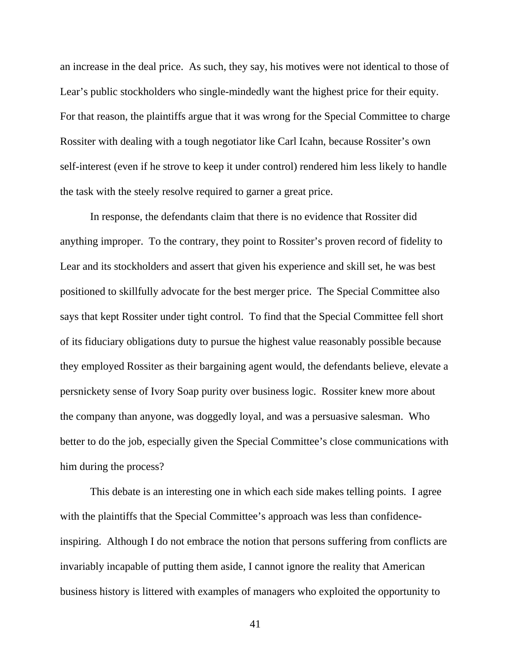an increase in the deal price. As such, they say, his motives were not identical to those of Lear's public stockholders who single-mindedly want the highest price for their equity. For that reason, the plaintiffs argue that it was wrong for the Special Committee to charge Rossiter with dealing with a tough negotiator like Carl Icahn, because Rossiter's own self-interest (even if he strove to keep it under control) rendered him less likely to handle the task with the steely resolve required to garner a great price.

In response, the defendants claim that there is no evidence that Rossiter did anything improper. To the contrary, they point to Rossiter's proven record of fidelity to Lear and its stockholders and assert that given his experience and skill set, he was best positioned to skillfully advocate for the best merger price. The Special Committee also says that kept Rossiter under tight control. To find that the Special Committee fell short of its fiduciary obligations duty to pursue the highest value reasonably possible because they employed Rossiter as their bargaining agent would, the defendants believe, elevate a persnickety sense of Ivory Soap purity over business logic. Rossiter knew more about the company than anyone, was doggedly loyal, and was a persuasive salesman. Who better to do the job, especially given the Special Committee's close communications with him during the process?

This debate is an interesting one in which each side makes telling points. I agree with the plaintiffs that the Special Committee's approach was less than confidenceinspiring. Although I do not embrace the notion that persons suffering from conflicts are invariably incapable of putting them aside, I cannot ignore the reality that American business history is littered with examples of managers who exploited the opportunity to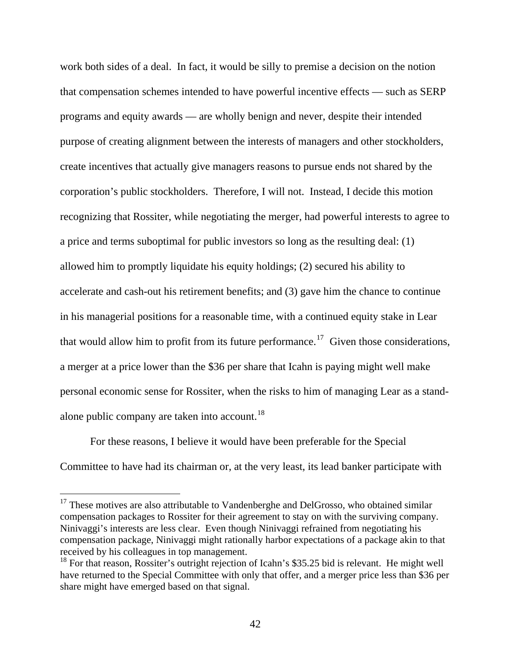work both sides of a deal. In fact, it would be silly to premise a decision on the notion that compensation schemes intended to have powerful incentive effects — such as SERP programs and equity awards — are wholly benign and never, despite their intended purpose of creating alignment between the interests of managers and other stockholders, create incentives that actually give managers reasons to pursue ends not shared by the corporation's public stockholders. Therefore, I will not. Instead, I decide this motion recognizing that Rossiter, while negotiating the merger, had powerful interests to agree to a price and terms suboptimal for public investors so long as the resulting deal: (1) allowed him to promptly liquidate his equity holdings; (2) secured his ability to accelerate and cash-out his retirement benefits; and (3) gave him the chance to continue in his managerial positions for a reasonable time, with a continued equity stake in Lear that would allow him to profit from its future performance.<sup>[17](#page-42-0)</sup> Given those considerations, a merger at a price lower than the \$36 per share that Icahn is paying might well make personal economic sense for Rossiter, when the risks to him of managing Lear as a standalone public company are taken into account. $^{18}$  $^{18}$  $^{18}$ 

For these reasons, I believe it would have been preferable for the Special Committee to have had its chairman or, at the very least, its lead banker participate with

<span id="page-42-0"></span> $17$  These motives are also attributable to Vandenberghe and DelGrosso, who obtained similar compensation packages to Rossiter for their agreement to stay on with the surviving company. Ninivaggi's interests are less clear. Even though Ninivaggi refrained from negotiating his compensation package, Ninivaggi might rationally harbor expectations of a package akin to that received by his colleagues in top management.

<span id="page-42-1"></span> $^{18}$  For that reason, Rossiter's outright rejection of Icahn's \$35.25 bid is relevant. He might well have returned to the Special Committee with only that offer, and a merger price less than \$36 per share might have emerged based on that signal.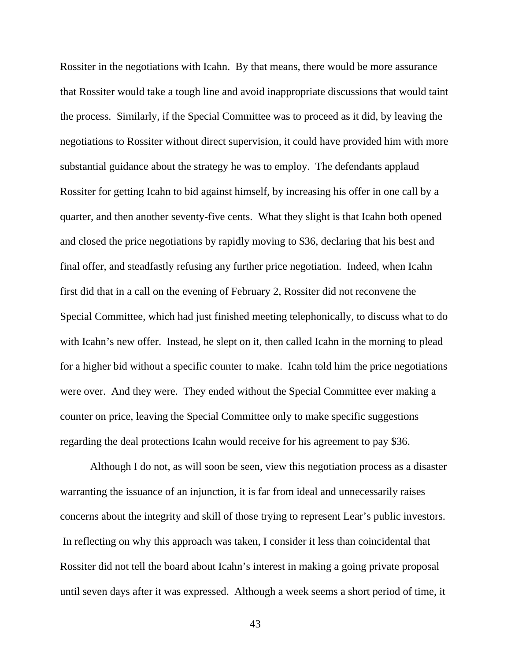Rossiter in the negotiations with Icahn. By that means, there would be more assurance that Rossiter would take a tough line and avoid inappropriate discussions that would taint the process. Similarly, if the Special Committee was to proceed as it did, by leaving the negotiations to Rossiter without direct supervision, it could have provided him with more substantial guidance about the strategy he was to employ. The defendants applaud Rossiter for getting Icahn to bid against himself, by increasing his offer in one call by a quarter, and then another seventy-five cents. What they slight is that Icahn both opened and closed the price negotiations by rapidly moving to \$36, declaring that his best and final offer, and steadfastly refusing any further price negotiation. Indeed, when Icahn first did that in a call on the evening of February 2, Rossiter did not reconvene the Special Committee, which had just finished meeting telephonically, to discuss what to do with Icahn's new offer. Instead, he slept on it, then called Icahn in the morning to plead for a higher bid without a specific counter to make. Icahn told him the price negotiations were over. And they were. They ended without the Special Committee ever making a counter on price, leaving the Special Committee only to make specific suggestions regarding the deal protections Icahn would receive for his agreement to pay \$36.

Although I do not, as will soon be seen, view this negotiation process as a disaster warranting the issuance of an injunction, it is far from ideal and unnecessarily raises concerns about the integrity and skill of those trying to represent Lear's public investors. In reflecting on why this approach was taken, I consider it less than coincidental that Rossiter did not tell the board about Icahn's interest in making a going private proposal until seven days after it was expressed. Although a week seems a short period of time, it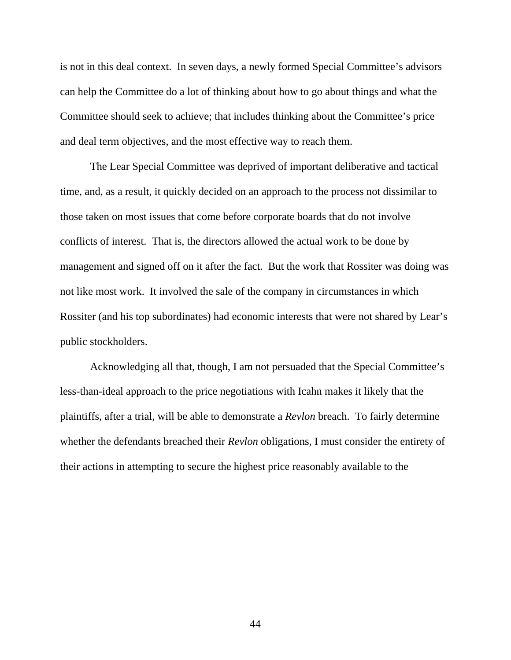is not in this deal context. In seven days, a newly formed Special Committee's advisors can help the Committee do a lot of thinking about how to go about things and what the Committee should seek to achieve; that includes thinking about the Committee's price and deal term objectives, and the most effective way to reach them.

The Lear Special Committee was deprived of important deliberative and tactical time, and, as a result, it quickly decided on an approach to the process not dissimilar to those taken on most issues that come before corporate boards that do not involve conflicts of interest. That is, the directors allowed the actual work to be done by management and signed off on it after the fact. But the work that Rossiter was doing was not like most work. It involved the sale of the company in circumstances in which Rossiter (and his top subordinates) had economic interests that were not shared by Lear's public stockholders.

Acknowledging all that, though, I am not persuaded that the Special Committee's less-than-ideal approach to the price negotiations with Icahn makes it likely that the plaintiffs, after a trial, will be able to demonstrate a *Revlon* breach. To fairly determine whether the defendants breached their *Revlon* obligations, I must consider the entirety of their actions in attempting to secure the highest price reasonably available to the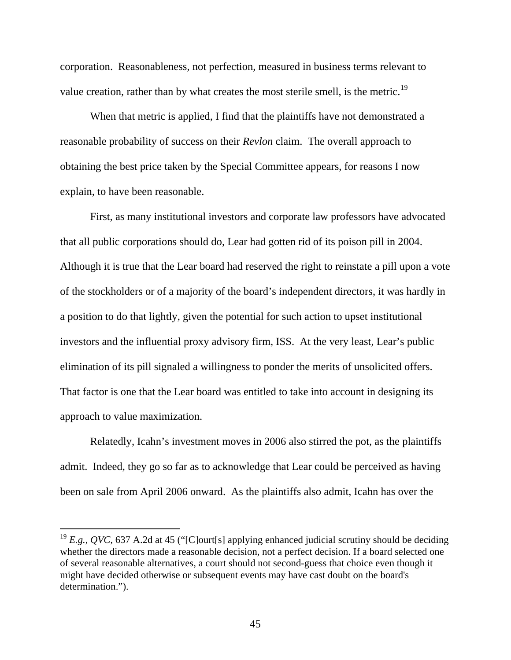corporation. Reasonableness, not perfection, measured in business terms relevant to value creation, rather than by what creates the most sterile smell, is the metric.<sup>[19](#page-45-0)</sup>

When that metric is applied, I find that the plaintiffs have not demonstrated a reasonable probability of success on their *Revlon* claim. The overall approach to obtaining the best price taken by the Special Committee appears, for reasons I now explain, to have been reasonable.

First, as many institutional investors and corporate law professors have advocated that all public corporations should do, Lear had gotten rid of its poison pill in 2004. Although it is true that the Lear board had reserved the right to reinstate a pill upon a vote of the stockholders or of a majority of the board's independent directors, it was hardly in a position to do that lightly, given the potential for such action to upset institutional investors and the influential proxy advisory firm, ISS. At the very least, Lear's public elimination of its pill signaled a willingness to ponder the merits of unsolicited offers. That factor is one that the Lear board was entitled to take into account in designing its approach to value maximization.

Relatedly, Icahn's investment moves in 2006 also stirred the pot, as the plaintiffs admit. Indeed, they go so far as to acknowledge that Lear could be perceived as having been on sale from April 2006 onward. As the plaintiffs also admit, Icahn has over the

<span id="page-45-0"></span><sup>&</sup>lt;sup>19</sup> *E.g.*, *QVC*, 637 A.2d at 45 ("[C]ourt[s] applying enhanced judicial scrutiny should be deciding whether the directors made a reasonable decision, not a perfect decision. If a board selected one of several reasonable alternatives, a court should not second-guess that choice even though it might have decided otherwise or subsequent events may have cast doubt on the board's determination.").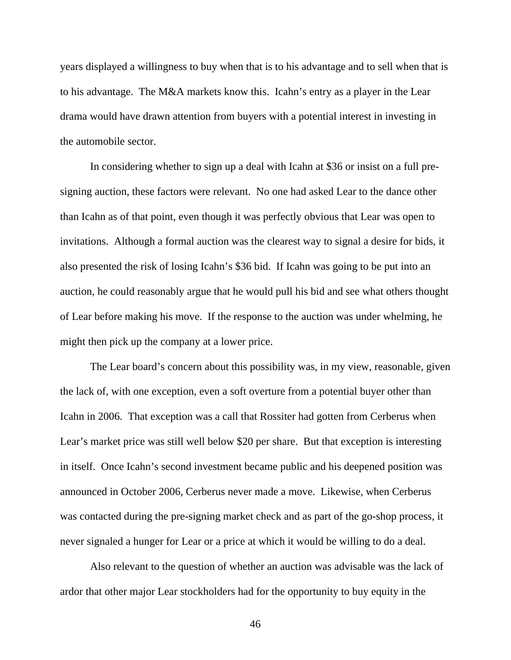years displayed a willingness to buy when that is to his advantage and to sell when that is to his advantage. The M&A markets know this. Icahn's entry as a player in the Lear drama would have drawn attention from buyers with a potential interest in investing in the automobile sector.

In considering whether to sign up a deal with Icahn at \$36 or insist on a full presigning auction, these factors were relevant. No one had asked Lear to the dance other than Icahn as of that point, even though it was perfectly obvious that Lear was open to invitations. Although a formal auction was the clearest way to signal a desire for bids, it also presented the risk of losing Icahn's \$36 bid. If Icahn was going to be put into an auction, he could reasonably argue that he would pull his bid and see what others thought of Lear before making his move. If the response to the auction was under whelming, he might then pick up the company at a lower price.

The Lear board's concern about this possibility was, in my view, reasonable, given the lack of, with one exception, even a soft overture from a potential buyer other than Icahn in 2006. That exception was a call that Rossiter had gotten from Cerberus when Lear's market price was still well below \$20 per share. But that exception is interesting in itself. Once Icahn's second investment became public and his deepened position was announced in October 2006, Cerberus never made a move. Likewise, when Cerberus was contacted during the pre-signing market check and as part of the go-shop process, it never signaled a hunger for Lear or a price at which it would be willing to do a deal.

Also relevant to the question of whether an auction was advisable was the lack of ardor that other major Lear stockholders had for the opportunity to buy equity in the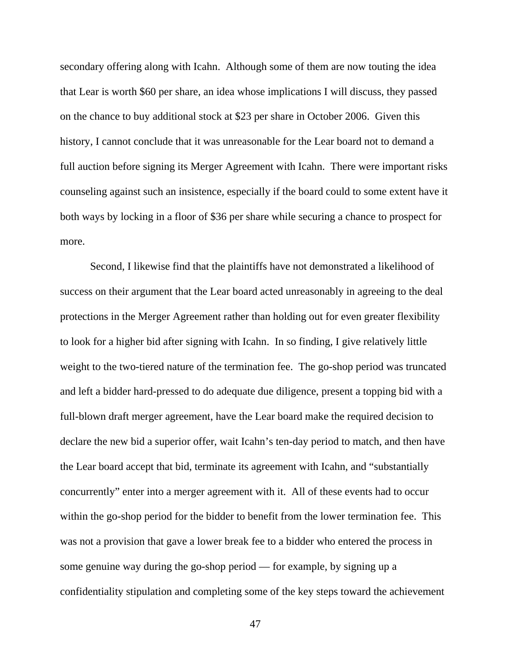secondary offering along with Icahn. Although some of them are now touting the idea that Lear is worth \$60 per share, an idea whose implications I will discuss, they passed on the chance to buy additional stock at \$23 per share in October 2006. Given this history, I cannot conclude that it was unreasonable for the Lear board not to demand a full auction before signing its Merger Agreement with Icahn. There were important risks counseling against such an insistence, especially if the board could to some extent have it both ways by locking in a floor of \$36 per share while securing a chance to prospect for more.

Second, I likewise find that the plaintiffs have not demonstrated a likelihood of success on their argument that the Lear board acted unreasonably in agreeing to the deal protections in the Merger Agreement rather than holding out for even greater flexibility to look for a higher bid after signing with Icahn. In so finding, I give relatively little weight to the two-tiered nature of the termination fee. The go-shop period was truncated and left a bidder hard-pressed to do adequate due diligence, present a topping bid with a full-blown draft merger agreement, have the Lear board make the required decision to declare the new bid a superior offer, wait Icahn's ten-day period to match, and then have the Lear board accept that bid, terminate its agreement with Icahn, and "substantially concurrently" enter into a merger agreement with it. All of these events had to occur within the go-shop period for the bidder to benefit from the lower termination fee. This was not a provision that gave a lower break fee to a bidder who entered the process in some genuine way during the go-shop period — for example, by signing up a confidentiality stipulation and completing some of the key steps toward the achievement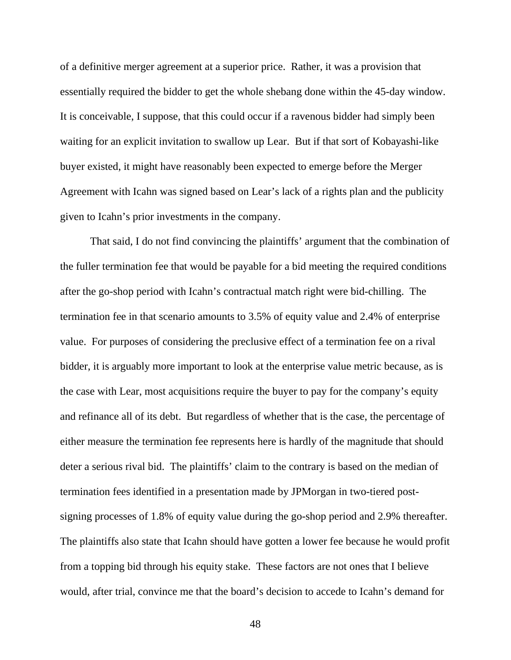of a definitive merger agreement at a superior price. Rather, it was a provision that essentially required the bidder to get the whole shebang done within the 45-day window. It is conceivable, I suppose, that this could occur if a ravenous bidder had simply been waiting for an explicit invitation to swallow up Lear. But if that sort of Kobayashi-like buyer existed, it might have reasonably been expected to emerge before the Merger Agreement with Icahn was signed based on Lear's lack of a rights plan and the publicity given to Icahn's prior investments in the company.

That said, I do not find convincing the plaintiffs' argument that the combination of the fuller termination fee that would be payable for a bid meeting the required conditions after the go-shop period with Icahn's contractual match right were bid-chilling. The termination fee in that scenario amounts to 3.5% of equity value and 2.4% of enterprise value. For purposes of considering the preclusive effect of a termination fee on a rival bidder, it is arguably more important to look at the enterprise value metric because, as is the case with Lear, most acquisitions require the buyer to pay for the company's equity and refinance all of its debt. But regardless of whether that is the case, the percentage of either measure the termination fee represents here is hardly of the magnitude that should deter a serious rival bid. The plaintiffs' claim to the contrary is based on the median of termination fees identified in a presentation made by JPMorgan in two-tiered postsigning processes of 1.8% of equity value during the go-shop period and 2.9% thereafter. The plaintiffs also state that Icahn should have gotten a lower fee because he would profit from a topping bid through his equity stake. These factors are not ones that I believe would, after trial, convince me that the board's decision to accede to Icahn's demand for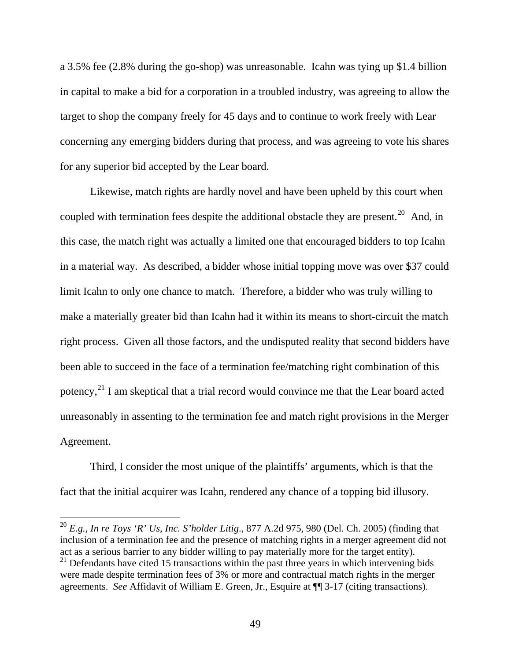a 3.5% fee (2.8% during the go-shop) was unreasonable. Icahn was tying up \$1.4 billion in capital to make a bid for a corporation in a troubled industry, was agreeing to allow the target to shop the company freely for 45 days and to continue to work freely with Lear concerning any emerging bidders during that process, and was agreeing to vote his shares for any superior bid accepted by the Lear board.

Likewise, match rights are hardly novel and have been upheld by this court when coupled with termination fees despite the additional obstacle they are present.<sup>[20](#page-49-0)</sup> And, in this case, the match right was actually a limited one that encouraged bidders to top Icahn in a material way. As described, a bidder whose initial topping move was over \$37 could limit Icahn to only one chance to match. Therefore, a bidder who was truly willing to make a materially greater bid than Icahn had it within its means to short-circuit the match right process. Given all those factors, and the undisputed reality that second bidders have been able to succeed in the face of a termination fee/matching right combination of this potency, $^{21}$  $^{21}$  $^{21}$  I am skeptical that a trial record would convince me that the Lear board acted unreasonably in assenting to the termination fee and match right provisions in the Merger Agreement.

Third, I consider the most unique of the plaintiffs' arguments, which is that the fact that the initial acquirer was Icahn, rendered any chance of a topping bid illusory.

<span id="page-49-1"></span><span id="page-49-0"></span><sup>20</sup> *E.g.*, *In re Toys 'R' Us, Inc. S'holder Litig*., 877 A.2d 975, 980 (Del. Ch. 2005) (finding that inclusion of a termination fee and the presence of matching rights in a merger agreement did not act as a serious barrier to any bidder willing to pay materially more for the target entity).  $21$  Defendants have cited 15 transactions within the past three years in which intervening bids were made despite termination fees of 3% or more and contractual match rights in the merger agreements. *See* Affidavit of William E. Green, Jr., Esquire at ¶¶ 3-17 (citing transactions).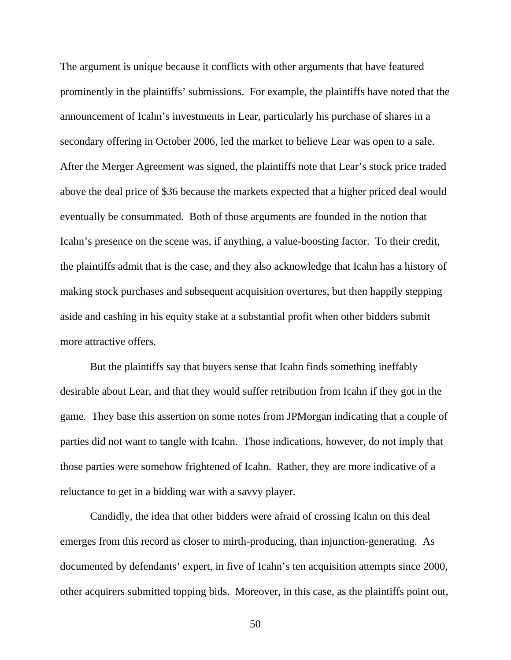The argument is unique because it conflicts with other arguments that have featured prominently in the plaintiffs' submissions. For example, the plaintiffs have noted that the announcement of Icahn's investments in Lear, particularly his purchase of shares in a secondary offering in October 2006, led the market to believe Lear was open to a sale. After the Merger Agreement was signed, the plaintiffs note that Lear's stock price traded above the deal price of \$36 because the markets expected that a higher priced deal would eventually be consummated. Both of those arguments are founded in the notion that Icahn's presence on the scene was, if anything, a value-boosting factor. To their credit, the plaintiffs admit that is the case, and they also acknowledge that Icahn has a history of making stock purchases and subsequent acquisition overtures, but then happily stepping aside and cashing in his equity stake at a substantial profit when other bidders submit more attractive offers.

But the plaintiffs say that buyers sense that Icahn finds something ineffably desirable about Lear, and that they would suffer retribution from Icahn if they got in the game. They base this assertion on some notes from JPMorgan indicating that a couple of parties did not want to tangle with Icahn. Those indications, however, do not imply that those parties were somehow frightened of Icahn. Rather, they are more indicative of a reluctance to get in a bidding war with a savvy player.

Candidly, the idea that other bidders were afraid of crossing Icahn on this deal emerges from this record as closer to mirth-producing, than injunction-generating. As documented by defendants' expert, in five of Icahn's ten acquisition attempts since 2000, other acquirers submitted topping bids. Moreover, in this case, as the plaintiffs point out,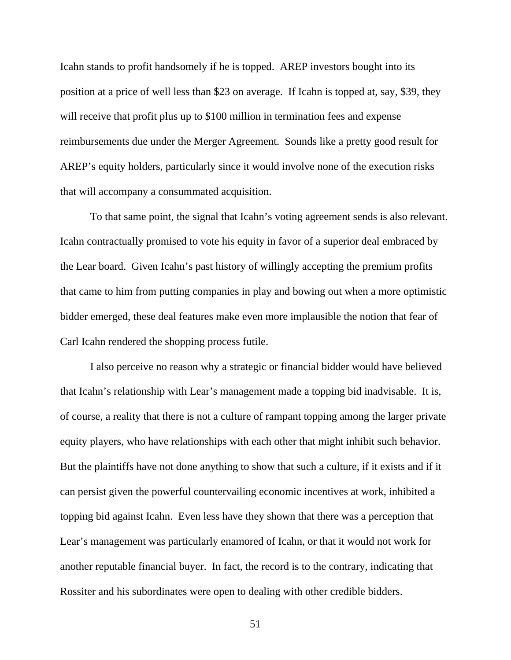Icahn stands to profit handsomely if he is topped. AREP investors bought into its position at a price of well less than \$23 on average. If Icahn is topped at, say, \$39, they will receive that profit plus up to \$100 million in termination fees and expense reimbursements due under the Merger Agreement. Sounds like a pretty good result for AREP's equity holders, particularly since it would involve none of the execution risks that will accompany a consummated acquisition.

To that same point, the signal that Icahn's voting agreement sends is also relevant. Icahn contractually promised to vote his equity in favor of a superior deal embraced by the Lear board. Given Icahn's past history of willingly accepting the premium profits that came to him from putting companies in play and bowing out when a more optimistic bidder emerged, these deal features make even more implausible the notion that fear of Carl Icahn rendered the shopping process futile.

I also perceive no reason why a strategic or financial bidder would have believed that Icahn's relationship with Lear's management made a topping bid inadvisable. It is, of course, a reality that there is not a culture of rampant topping among the larger private equity players, who have relationships with each other that might inhibit such behavior. But the plaintiffs have not done anything to show that such a culture, if it exists and if it can persist given the powerful countervailing economic incentives at work, inhibited a topping bid against Icahn. Even less have they shown that there was a perception that Lear's management was particularly enamored of Icahn, or that it would not work for another reputable financial buyer. In fact, the record is to the contrary, indicating that Rossiter and his subordinates were open to dealing with other credible bidders.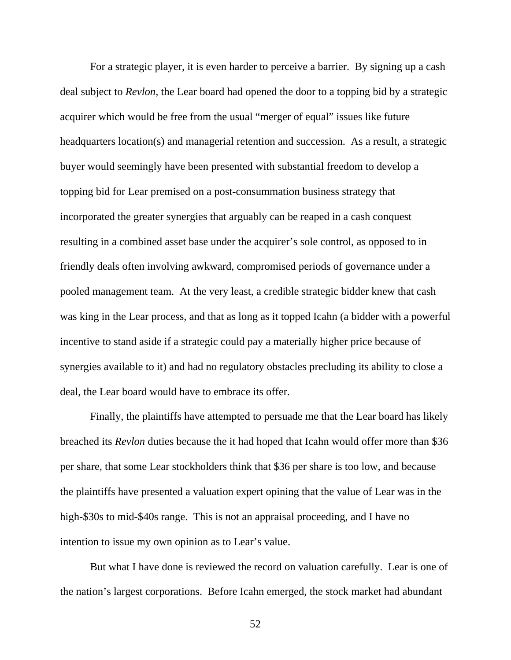For a strategic player, it is even harder to perceive a barrier. By signing up a cash deal subject to *Revlon*, the Lear board had opened the door to a topping bid by a strategic acquirer which would be free from the usual "merger of equal" issues like future headquarters location(s) and managerial retention and succession. As a result, a strategic buyer would seemingly have been presented with substantial freedom to develop a topping bid for Lear premised on a post-consummation business strategy that incorporated the greater synergies that arguably can be reaped in a cash conquest resulting in a combined asset base under the acquirer's sole control, as opposed to in friendly deals often involving awkward, compromised periods of governance under a pooled management team. At the very least, a credible strategic bidder knew that cash was king in the Lear process, and that as long as it topped Icahn (a bidder with a powerful incentive to stand aside if a strategic could pay a materially higher price because of synergies available to it) and had no regulatory obstacles precluding its ability to close a deal, the Lear board would have to embrace its offer.

Finally, the plaintiffs have attempted to persuade me that the Lear board has likely breached its *Revlon* duties because the it had hoped that Icahn would offer more than \$36 per share, that some Lear stockholders think that \$36 per share is too low, and because the plaintiffs have presented a valuation expert opining that the value of Lear was in the high-\$30s to mid-\$40s range. This is not an appraisal proceeding, and I have no intention to issue my own opinion as to Lear's value.

But what I have done is reviewed the record on valuation carefully. Lear is one of the nation's largest corporations. Before Icahn emerged, the stock market had abundant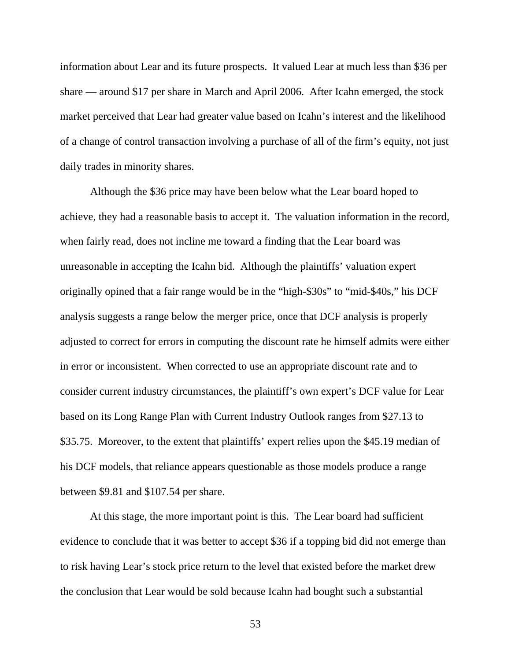information about Lear and its future prospects. It valued Lear at much less than \$36 per share — around \$17 per share in March and April 2006. After Icahn emerged, the stock market perceived that Lear had greater value based on Icahn's interest and the likelihood of a change of control transaction involving a purchase of all of the firm's equity, not just daily trades in minority shares.

Although the \$36 price may have been below what the Lear board hoped to achieve, they had a reasonable basis to accept it. The valuation information in the record, when fairly read, does not incline me toward a finding that the Lear board was unreasonable in accepting the Icahn bid. Although the plaintiffs' valuation expert originally opined that a fair range would be in the "high-\$30s" to "mid-\$40s," his DCF analysis suggests a range below the merger price, once that DCF analysis is properly adjusted to correct for errors in computing the discount rate he himself admits were either in error or inconsistent. When corrected to use an appropriate discount rate and to consider current industry circumstances, the plaintiff's own expert's DCF value for Lear based on its Long Range Plan with Current Industry Outlook ranges from \$27.13 to \$35.75. Moreover, to the extent that plaintiffs' expert relies upon the \$45.19 median of his DCF models, that reliance appears questionable as those models produce a range between \$9.81 and \$107.54 per share.

At this stage, the more important point is this. The Lear board had sufficient evidence to conclude that it was better to accept \$36 if a topping bid did not emerge than to risk having Lear's stock price return to the level that existed before the market drew the conclusion that Lear would be sold because Icahn had bought such a substantial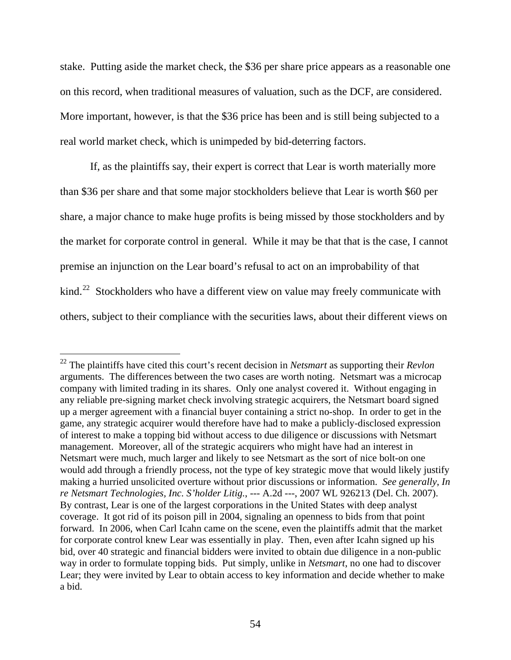stake. Putting aside the market check, the \$36 per share price appears as a reasonable one on this record, when traditional measures of valuation, such as the DCF, are considered. More important, however, is that the \$36 price has been and is still being subjected to a real world market check, which is unimpeded by bid-deterring factors.

If, as the plaintiffs say, their expert is correct that Lear is worth materially more than \$36 per share and that some major stockholders believe that Lear is worth \$60 per share, a major chance to make huge profits is being missed by those stockholders and by the market for corporate control in general. While it may be that that is the case, I cannot premise an injunction on the Lear board's refusal to act on an improbability of that kind.<sup>[22](#page-54-0)</sup> Stockholders who have a different view on value may freely communicate with others, subject to their compliance with the securities laws, about their different views on

<span id="page-54-0"></span> $\overline{a}$ 22 The plaintiffs have cited this court's recent decision in *Netsmart* as supporting their *Revlon* arguments. The differences between the two cases are worth noting. Netsmart was a microcap company with limited trading in its shares. Only one analyst covered it. Without engaging in any reliable pre-signing market check involving strategic acquirers, the Netsmart board signed up a merger agreement with a financial buyer containing a strict no-shop. In order to get in the game, any strategic acquirer would therefore have had to make a publicly-disclosed expression of interest to make a topping bid without access to due diligence or discussions with Netsmart management. Moreover, all of the strategic acquirers who might have had an interest in Netsmart were much, much larger and likely to see Netsmart as the sort of nice bolt-on one would add through a friendly process, not the type of key strategic move that would likely justify making a hurried unsolicited overture without prior discussions or information. *See generally*, *In re Netsmart Technologies, Inc. S'holder Litig.*, --- A.2d ---, 2007 WL 926213 (Del. Ch. 2007). By contrast, Lear is one of the largest corporations in the United States with deep analyst coverage. It got rid of its poison pill in 2004, signaling an openness to bids from that point forward. In 2006, when Carl Icahn came on the scene, even the plaintiffs admit that the market for corporate control knew Lear was essentially in play. Then, even after Icahn signed up his bid, over 40 strategic and financial bidders were invited to obtain due diligence in a non-public way in order to formulate topping bids. Put simply, unlike in *Netsmart*, no one had to discover Lear; they were invited by Lear to obtain access to key information and decide whether to make a bid.